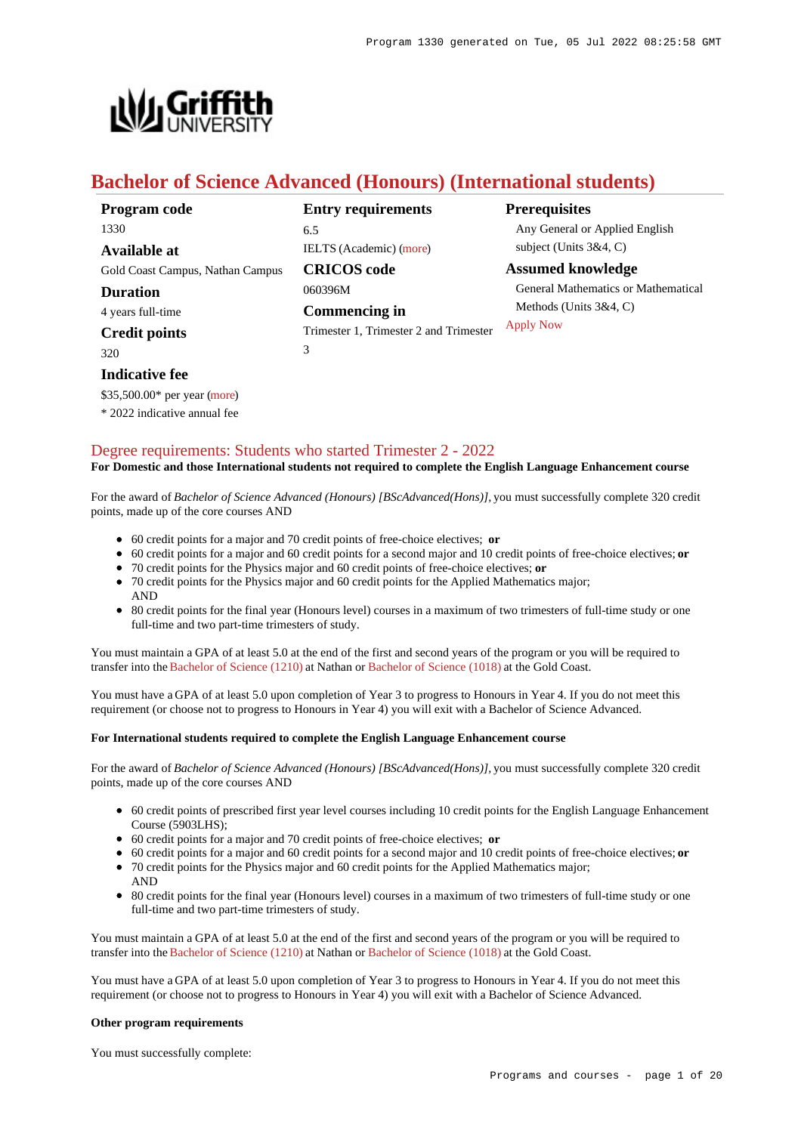

# **Bachelor of Science Advanced (Honours) (International students)**

| Program code                     | <b>Entry requirements</b>              | <b>Prerequisites</b>                |
|----------------------------------|----------------------------------------|-------------------------------------|
| 1330                             | 6.5                                    | Any General or Applied English      |
| <b>Available at</b>              | <b>IELTS</b> (Academic) (more)         | subject (Units $3&4, C$ )           |
| Gold Coast Campus, Nathan Campus | <b>CRICOS</b> code                     | <b>Assumed knowledge</b>            |
| <b>Duration</b>                  | 060396M                                | General Mathematics or Mathematical |
| 4 years full-time                | <b>Commencing in</b>                   | Methods (Units $3&4, C$ )           |
| <b>Credit points</b>             | Trimester 1, Trimester 2 and Trimester | <b>Apply Now</b>                    |
| 320                              | 3                                      |                                     |
| <b>Indicative fee</b>            |                                        |                                     |

\$35,500.00\* per year [\(more](https://www148.griffith.edu.au/programs-courses/Program/1330/Overview/International#fees)) \* 2022 indicative annual fee

# [Degree requirements: Students who started Trimester 2 - 2022](https://www148.griffith.edu.au/programs-courses/Program/1330/Courses/International#degree-requirements)

### **For Domestic and those International students not required to complete the English Language Enhancement course**

For the award of *Bachelor of Science Advanced (Honours) [BScAdvanced(Hons)],* you must successfully complete 320 credit points, made up of the core courses AND

- 60 credit points for a major and 70 credit points of free-choice electives; **or**
- 60 credit points for a major and 60 credit points for a second major and 10 credit points of free-choice electives; **or**
- 70 credit points for the Physics major and 60 credit points of free-choice electives; **or**
- 70 credit points for the Physics major and 60 credit points for the Applied Mathematics major; AND
- 80 credit points for the final year (Honours level) courses in a maximum of two trimesters of full-time study or one full-time and two part-time trimesters of study.

You must maintain a GPA of at least 5.0 at the end of the first and second years of the program or you will be required to transfer into the [Bachelor of Science \(1210\)](https://www148.griffith.edu.au/Search/Results?SearchText=1210) at Nathan or [Bachelor of Science \(1018\)](https://www148.griffith.edu.au/Search/Results?SearchText=1018) at the Gold Coast.

You must have a GPA of at least 5.0 upon completion of Year 3 to progress to Honours in Year 4. If you do not meet this requirement (or choose not to progress to Honours in Year 4) you will exit with a Bachelor of Science Advanced.

### **For International students required to complete the English Language Enhancement course**

For the award of *Bachelor of Science Advanced (Honours) [BScAdvanced(Hons)],* you must successfully complete 320 credit points, made up of the core courses AND

- 60 credit points of prescribed first year level courses including 10 credit points for the English Language Enhancement Course (5903LHS);
- 60 credit points for a major and 70 credit points of free-choice electives; **or**
- 60 credit points for a major and 60 credit points for a second major and 10 credit points of free-choice electives; **or**
- 70 credit points for the Physics major and 60 credit points for the Applied Mathematics major; AND
- 80 credit points for the final year (Honours level) courses in a maximum of two trimesters of full-time study or one full-time and two part-time trimesters of study.

You must maintain a GPA of at least 5.0 at the end of the first and second years of the program or you will be required to transfer into the [Bachelor of Science \(1210\)](https://www148.griffith.edu.au/Search/Results?SearchText=1210) at Nathan or [Bachelor of Science \(1018\)](https://www148.griffith.edu.au/Search/Results?SearchText=1018) at the Gold Coast.

You must have a GPA of at least 5.0 upon completion of Year 3 to progress to Honours in Year 4. If you do not meet this requirement (or choose not to progress to Honours in Year 4) you will exit with a Bachelor of Science Advanced.

#### **Other program requirements**

You must successfully complete: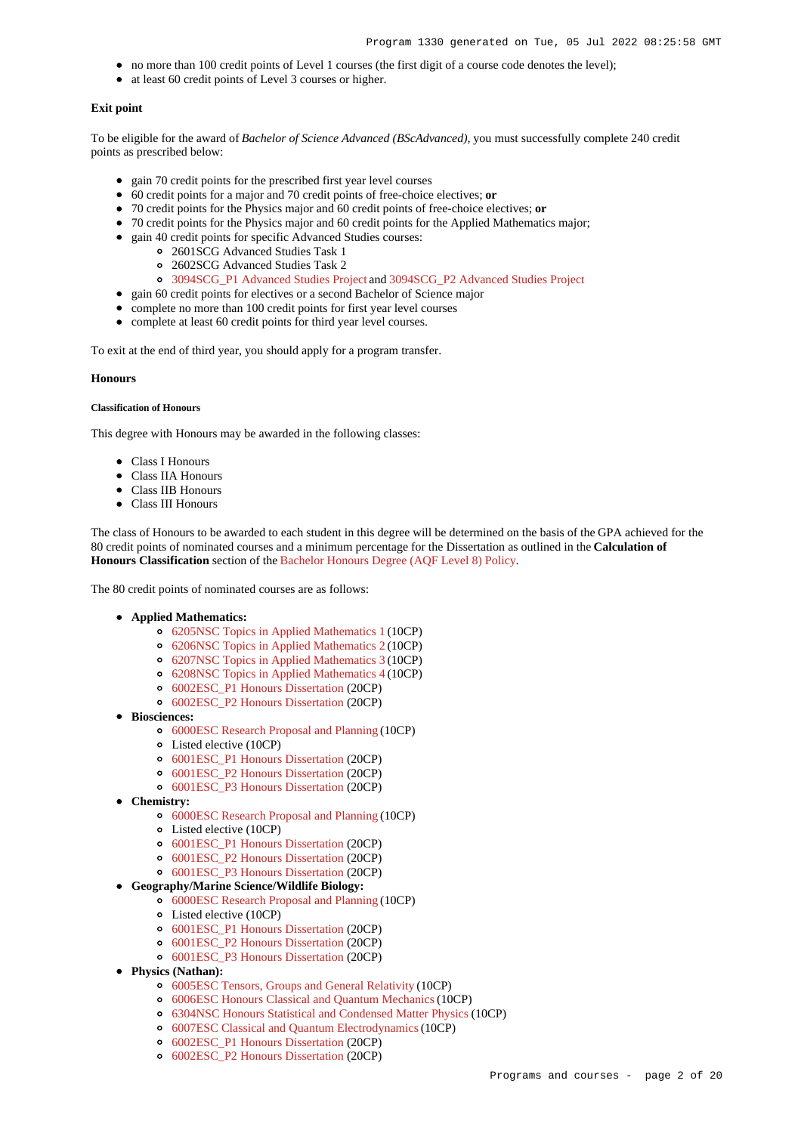- no more than 100 credit points of Level 1 courses (the first digit of a course code denotes the level);
- at least 60 credit points of Level 3 courses or higher.

#### **Exit point**

To be eligible for the award of *Bachelor of Science Advanced (BScAdvanced),* you must successfully complete 240 credit points as prescribed below:

- gain 70 credit points for the prescribed first year level courses
- 60 credit points for a major and 70 credit points of free-choice electives; **or**   $\bullet$
- 70 credit points for the Physics major and 60 credit points of free-choice electives; **or**
- 70 credit points for the Physics major and 60 credit points for the Applied Mathematics major;
- gain 40 credit points for specific Advanced Studies courses:
	- 2601SCG Advanced Studies Task 1
	- 2602SCG Advanced Studies Task 2
	- [3094SCG\\_P1 Advanced Studies Project](https://www148.griffith.edu.au/Course/3094SCG_P1) and [3094SCG\\_P2 Advanced Studies Project](https://www148.griffith.edu.au/Course/3094SCG_P2)
- gain 60 credit points for electives or a second Bachelor of Science major
- complete no more than 100 credit points for first year level courses
- complete at least 60 credit points for third year level courses.

To exit at the end of third year, you should apply for a program transfer.

#### **Honours**

#### **Classification of Honours**

This degree with Honours may be awarded in the following classes:

- Class I Honours
- Class IIA Honours
- Class IIB Honours
- Class III Honours

The class of Honours to be awarded to each student in this degree will be determined on the basis of the GPA achieved for the 80 credit points of nominated courses and a minimum percentage for the Dissertation as outlined in the **Calculation of Honours Classification** section of the [Bachelor Honours Degree \(AQF Level 8\) Policy](http://policies.griffith.edu.au/pdf/Bachelor Honours Degree Policy.pdf).

The 80 credit points of nominated courses are as follows:

- **Applied Mathematics:**
	- [6205NSC Topics in Applied Mathematics 1](https://www148.griffith.edu.au/Course/6205NSC) (10CP)
	- [6206NSC Topics in Applied Mathematics 2](https://www148.griffith.edu.au/Course/6206NSC) (10CP)
	- [6207NSC Topics in Applied Mathematics 3](https://www148.griffith.edu.au/Course/6207NSC) (10CP)
	- [6208NSC Topics in Applied Mathematics 4](https://www148.griffith.edu.au/Course/6208NSC) (10CP)
	- [6002ESC\\_P1 Honours Dissertation](https://www148.griffith.edu.au/Course/6002ESC_P1) (20CP)
	- [6002ESC\\_P2 Honours Dissertation](https://www148.griffith.edu.au/Course/6002ESC_P2) (20CP)
- **Biosciences:** 
	- [6000ESC Research Proposal and Planning](https://www148.griffith.edu.au/Course/6000ESC) (10CP)
	- Listed elective (10CP)
	- [6001ESC\\_P1 Honours Dissertation](https://www148.griffith.edu.au/Course/6001ESC_P1) (20CP)
	- [6001ESC\\_P2 Honours Dissertation](https://www148.griffith.edu.au/Course/6001ESC_P2) (20CP)
	- [6001ESC\\_P3 Honours Dissertation](https://www148.griffith.edu.au/Course/6001ESC_P3) (20CP)
- **Chemistry:**
	- [6000ESC Research Proposal and Planning](https://www148.griffith.edu.au/Course/6000ESC) (10CP)
	- Listed elective (10CP)
	- [6001ESC\\_P1 Honours Dissertation](https://www148.griffith.edu.au/Course/6001ESC_P1) (20CP)
	- [6001ESC\\_P2 Honours Dissertation](https://www148.griffith.edu.au/Course/6001ESC_P2) (20CP)
	- [6001ESC\\_P3 Honours Dissertation](https://www148.griffith.edu.au/Course/6001ESC_P3) (20CP)

#### **Geography/Marine Science/Wildlife Biology:**

- [6000ESC Research Proposal and Planning](https://www148.griffith.edu.au/Course/6000ESC) (10CP)
- Listed elective (10CP)
- [6001ESC\\_P1 Honours Dissertation](https://www148.griffith.edu.au/Course/6001ESC_P1) (20CP)
- [6001ESC\\_P2 Honours Dissertation](https://www148.griffith.edu.au/Course/6001ESC_P2) (20CP)
- [6001ESC\\_P3 Honours Dissertation](https://www148.griffith.edu.au/Course/6001ESC_P3) (20CP)
- **Physics (Nathan):**
	- [6005ESC Tensors, Groups and General Relativity](https://www148.griffith.edu.au/Course/6005ESC) (10CP)
	- [6006ESC Honours Classical and Quantum Mechanics](https://www148.griffith.edu.au/Course/6006ESC) (10CP)
	- [6304NSC Honours Statistical and Condensed Matter Physics](https://www148.griffith.edu.au/Course/6304NSC) (10CP)
	- [6007ESC Classical and Quantum Electrodynamics](https://www148.griffith.edu.au/Course/6007ESC) (10CP)
	- [6002ESC\\_P1 Honours Dissertation](https://www148.griffith.edu.au/Course/6002ESC_P1) (20CP)
	- [6002ESC\\_P2 Honours Dissertation](https://www148.griffith.edu.au/Course/6002ESC_P2) (20CP)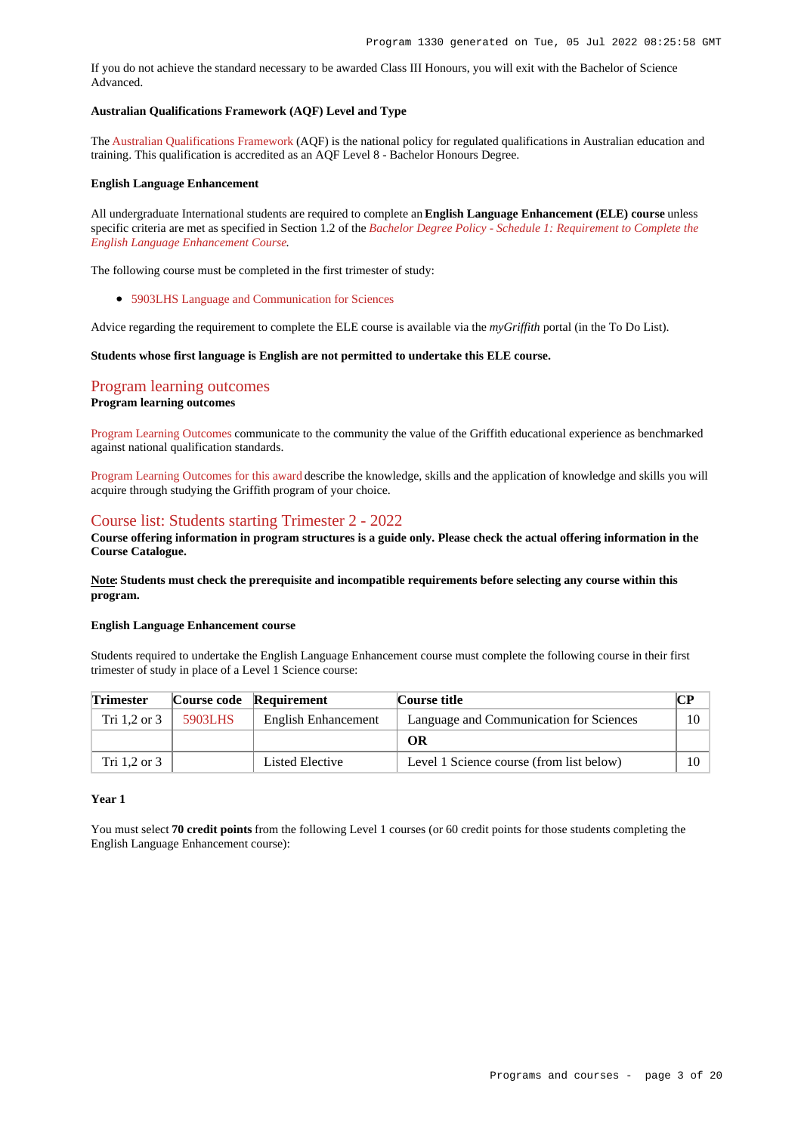If you do not achieve the standard necessary to be awarded Class III Honours, you will exit with the Bachelor of Science Advanced.

#### **Australian Qualifications Framework (AQF) Level and Type**

The [Australian Qualifications Framework](http://www.aqf.edu.au/) (AQF) is the national policy for regulated qualifications in Australian education and training. This qualification is accredited as an AQF Level 8 - Bachelor Honours Degree.

#### **English Language Enhancement**

All undergraduate International students are required to complete an **English Language Enhancement (ELE) course** unless specific criteria are met as specified in Section 1.2 of the *[Bachelor Degree Policy - Schedule 1: Requirement to Complete the](http://policies.griffith.edu.au/pdf/Bachelor Degree Policy Schedule 1.pdf) [English Language Enhancement Course](http://policies.griffith.edu.au/pdf/Bachelor Degree Policy Schedule 1.pdf)*.

The following course must be completed in the first trimester of study:

[5903LHS Language and Communication for Sciences](https://www148.griffith.edu.au/Course/5903LHS)

Advice regarding the requirement to complete the ELE course is available via the *myGriffith* portal (in the To Do List).

#### **Students whose first language is English are not permitted to undertake this ELE course.**

### [Program learning outcomes](https://www148.griffith.edu.au/programs-courses/Program/1330/Courses/International#programLearningOutcomes)

#### **Program learning outcomes**

[Program Learning Outcomes](https://www.griffith.edu.au/__data/assets/pdf_file/0017/134522/PLO-general-advice.pdf) communicate to the community the value of the Griffith educational experience as benchmarked against national qualification standards.

[Program Learning Outcomes for this award](https://www.griffith.edu.au/__data/assets/pdf_file/0012/301242/BScience-Advanced-Hons-PLO_L8.pdf) describe the knowledge, skills and the application of knowledge and skills you will acquire through studying the Griffith program of your choice.

### [Course list: Students starting Trimester 2 - 2022](https://www148.griffith.edu.au/programs-courses/Program/1330/Courses/International#course-list-content)

**Course offering information in program structures is a guide only. Please check the actual offering information in the Course Catalogue.**

### **Note: Students must check the prerequisite and incompatible requirements before selecting any course within this program.**

#### **English Language Enhancement course**

Students required to undertake the English Language Enhancement course must complete the following course in their first trimester of study in place of a Level 1 Science course:

| <b>Trimester</b> |         | Course code Requirement    | Course title                             | CР     |
|------------------|---------|----------------------------|------------------------------------------|--------|
| Tri 1.2 or 3     | 5903LHS | <b>English Enhancement</b> | Language and Communication for Sciences  | $10-1$ |
|                  |         |                            | OR                                       |        |
| Tri $1.2$ or $3$ |         | Listed Elective            | Level 1 Science course (from list below) | $10-1$ |

#### **Year 1**

You must select **70 credit points** from the following Level 1 courses (or 60 credit points for those students completing the English Language Enhancement course):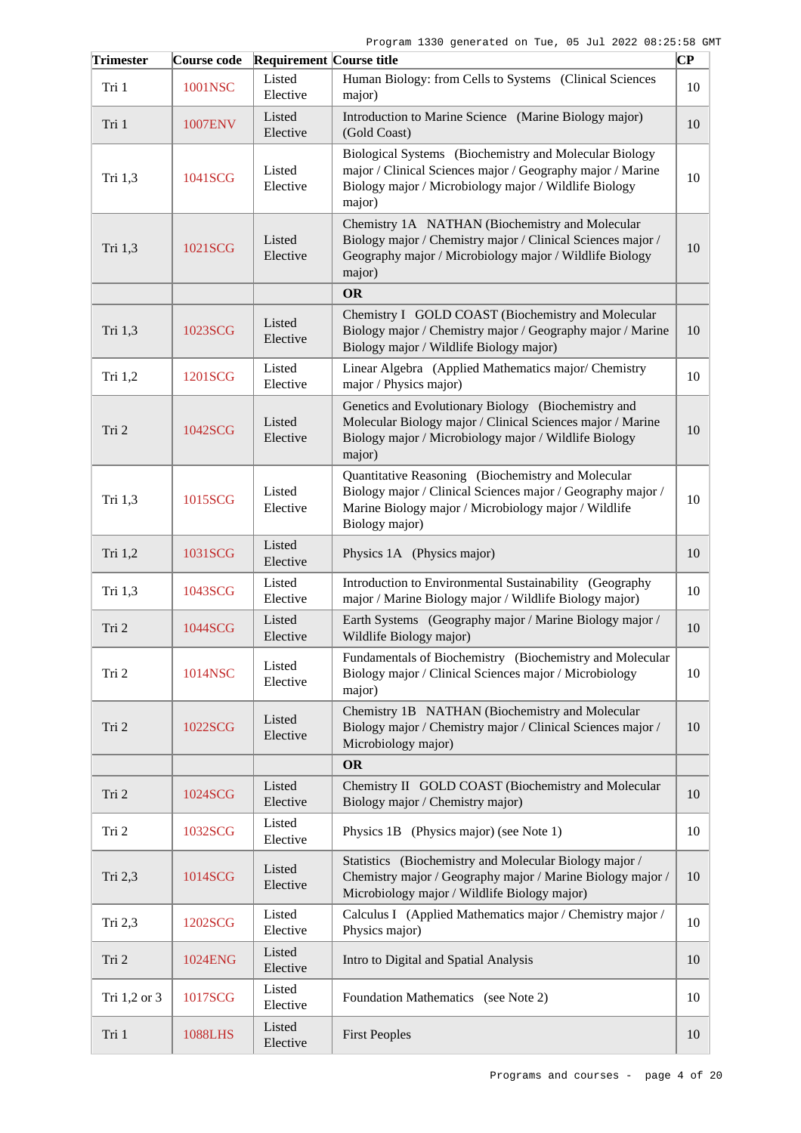| <b>Trimester</b> | Course code    | <b>Requirement Course title</b> |                                                                                                                                                                                             | $ {\bf CP}$ |
|------------------|----------------|---------------------------------|---------------------------------------------------------------------------------------------------------------------------------------------------------------------------------------------|-------------|
| Tri 1            | 1001NSC        | Listed<br>Elective              | Human Biology: from Cells to Systems (Clinical Sciences<br>major)                                                                                                                           | 10          |
| Tri 1            | <b>1007ENV</b> | Listed<br>Elective              | Introduction to Marine Science (Marine Biology major)<br>(Gold Coast)                                                                                                                       | 10          |
| Tri 1,3          | 1041SCG        | Listed<br>Elective              | Biological Systems (Biochemistry and Molecular Biology<br>major / Clinical Sciences major / Geography major / Marine<br>Biology major / Microbiology major / Wildlife Biology<br>major)     | 10          |
| Tri 1,3          | 1021SCG        | Listed<br>Elective              | Chemistry 1A NATHAN (Biochemistry and Molecular<br>Biology major / Chemistry major / Clinical Sciences major /<br>Geography major / Microbiology major / Wildlife Biology<br>major)         | 10          |
|                  |                |                                 | <b>OR</b>                                                                                                                                                                                   |             |
| Tri 1,3          | 1023SCG        | Listed<br>Elective              | Chemistry I GOLD COAST (Biochemistry and Molecular<br>Biology major / Chemistry major / Geography major / Marine<br>Biology major / Wildlife Biology major)                                 | 10          |
| Tri 1,2          | 1201SCG        | Listed<br>Elective              | Linear Algebra (Applied Mathematics major/Chemistry<br>major / Physics major)                                                                                                               | 10          |
| Tri 2            | 1042SCG        | Listed<br>Elective              | Genetics and Evolutionary Biology (Biochemistry and<br>Molecular Biology major / Clinical Sciences major / Marine<br>Biology major / Microbiology major / Wildlife Biology<br>major)        | 10          |
| Tri 1,3          | 1015SCG        | Listed<br>Elective              | Quantitative Reasoning (Biochemistry and Molecular<br>Biology major / Clinical Sciences major / Geography major /<br>Marine Biology major / Microbiology major / Wildlife<br>Biology major) | 10          |
| Tri 1,2          | 1031SCG        | Listed<br>Elective              | Physics 1A (Physics major)                                                                                                                                                                  | 10          |
| Tri 1,3          | 1043SCG        | Listed<br>Elective              | Introduction to Environmental Sustainability (Geography<br>major / Marine Biology major / Wildlife Biology major)                                                                           | 10          |
| Tri 2            | 1044SCG        | Listed<br>Elective              | Earth Systems (Geography major / Marine Biology major /<br>Wildlife Biology major)                                                                                                          | 10          |
| Tri 2            | 1014NSC        | Listed<br>Elective              | Fundamentals of Biochemistry (Biochemistry and Molecular<br>Biology major / Clinical Sciences major / Microbiology<br>major)                                                                | 10          |
| Tri 2            | 1022SCG        | Listed<br>Elective              | Chemistry 1B NATHAN (Biochemistry and Molecular<br>Biology major / Chemistry major / Clinical Sciences major /<br>Microbiology major)                                                       | 10          |
|                  |                |                                 | <b>OR</b>                                                                                                                                                                                   |             |
| Tri 2            | 1024SCG        | Listed<br>Elective              | Chemistry II GOLD COAST (Biochemistry and Molecular<br>Biology major / Chemistry major)                                                                                                     | 10          |
| Tri 2            | 1032SCG        | Listed<br>Elective              | Physics 1B (Physics major) (see Note 1)                                                                                                                                                     | 10          |
| Tri 2,3          | 1014SCG        | Listed<br>Elective              | Statistics (Biochemistry and Molecular Biology major /<br>Chemistry major / Geography major / Marine Biology major /<br>Microbiology major / Wildlife Biology major)                        | 10          |
| Tri 2,3          | 1202SCG        | Listed<br>Elective              | Calculus I (Applied Mathematics major / Chemistry major /<br>Physics major)                                                                                                                 | 10          |
| Tri 2            | 1024ENG        | Listed<br>Elective              | Intro to Digital and Spatial Analysis                                                                                                                                                       | 10          |
| Tri 1,2 or 3     | 1017SCG        | Listed<br>Elective              | Foundation Mathematics (see Note 2)                                                                                                                                                         | 10          |
| Tri 1            | <b>1088LHS</b> | Listed<br>Elective              | <b>First Peoples</b>                                                                                                                                                                        | 10          |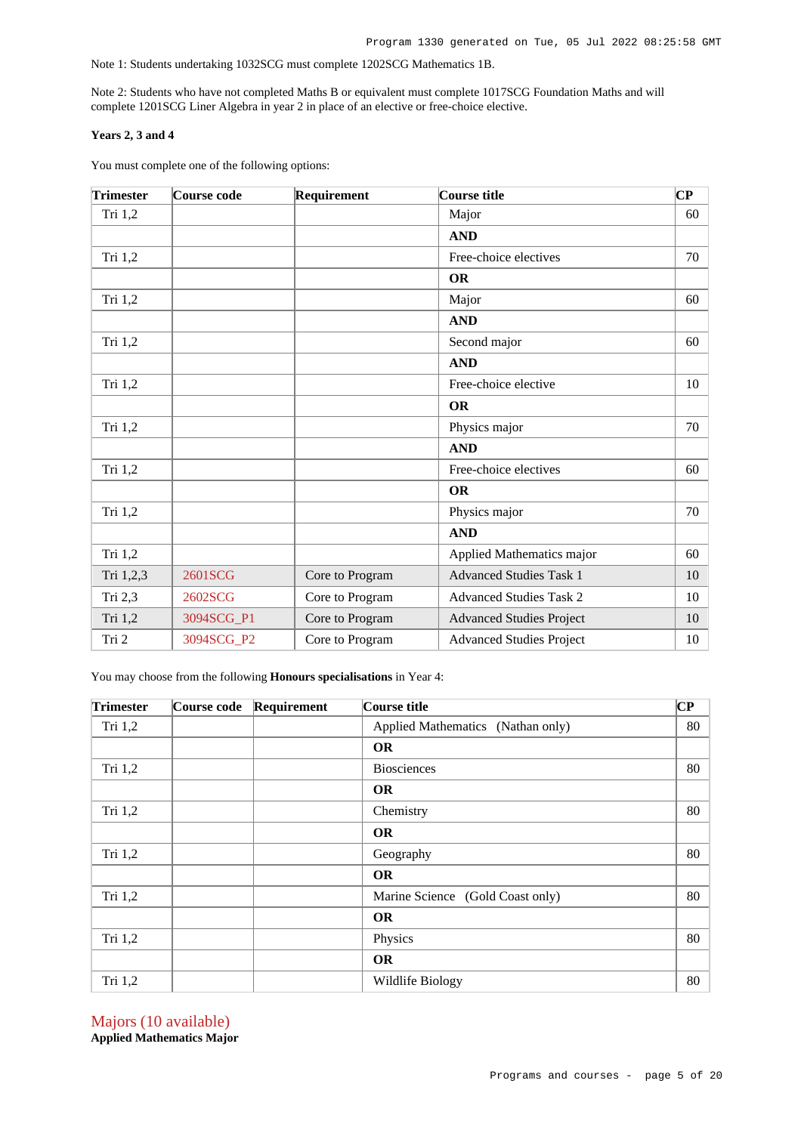Note 1: Students undertaking 1032SCG must complete 1202SCG Mathematics 1B.

Note 2: Students who have not completed Maths B or equivalent must complete 1017SCG Foundation Maths and will complete 1201SCG Liner Algebra in year 2 in place of an elective or free-choice elective.

#### **Years 2, 3 and 4**

You must complete one of the following options:

| <b>Trimester</b> | Course code    | Requirement     | Course title                    | $\overline{\mathbf{C}\mathbf{P}}$ |
|------------------|----------------|-----------------|---------------------------------|-----------------------------------|
| Tri 1,2          |                |                 | Major                           | 60                                |
|                  |                |                 | <b>AND</b>                      |                                   |
| Tri 1,2          |                |                 | Free-choice electives           | 70                                |
|                  |                |                 | <b>OR</b>                       |                                   |
| Tri 1,2          |                |                 | Major                           | 60                                |
|                  |                |                 | <b>AND</b>                      |                                   |
| Tri 1,2          |                |                 | Second major                    | 60                                |
|                  |                |                 | <b>AND</b>                      |                                   |
| Tri 1,2          |                |                 | Free-choice elective            | 10                                |
|                  |                |                 | <b>OR</b>                       |                                   |
| Tri 1,2          |                |                 | Physics major                   | 70                                |
|                  |                |                 | <b>AND</b>                      |                                   |
| Tri 1,2          |                |                 | Free-choice electives           | 60                                |
|                  |                |                 | <b>OR</b>                       |                                   |
| Tri 1,2          |                |                 | Physics major                   | 70                                |
|                  |                |                 | <b>AND</b>                      |                                   |
| Tri 1,2          |                |                 | Applied Mathematics major       | 60                                |
| Tri 1,2,3        | <b>2601SCG</b> | Core to Program | <b>Advanced Studies Task 1</b>  | 10                                |
| Tri 2,3          | 2602SCG        | Core to Program | <b>Advanced Studies Task 2</b>  | 10                                |
| Tri 1,2          | 3094SCG_P1     | Core to Program | <b>Advanced Studies Project</b> | 10                                |
| Tri 2            | 3094SCG_P2     | Core to Program | <b>Advanced Studies Project</b> | 10                                |

You may choose from the following **Honours specialisations** in Year 4:

| <b>Trimester</b> | Course code | Requirement | Course title                      | CP |
|------------------|-------------|-------------|-----------------------------------|----|
| Tri $1,2$        |             |             | Applied Mathematics (Nathan only) | 80 |
|                  |             |             | <b>OR</b>                         |    |
| Tri 1,2          |             |             | <b>Biosciences</b>                | 80 |
|                  |             |             | <b>OR</b>                         |    |
| Tri 1,2          |             |             | Chemistry                         | 80 |
|                  |             |             | <b>OR</b>                         |    |
| Tri 1,2          |             |             | Geography                         | 80 |
|                  |             |             | <b>OR</b>                         |    |
| Tri 1,2          |             |             | Marine Science (Gold Coast only)  | 80 |
|                  |             |             | <b>OR</b>                         |    |
| Tri 1,2          |             |             | Physics                           | 80 |
|                  |             |             | <b>OR</b>                         |    |
| Tri 1,2          |             |             | Wildlife Biology                  | 80 |

Majors (10 available) **Applied Mathematics Major**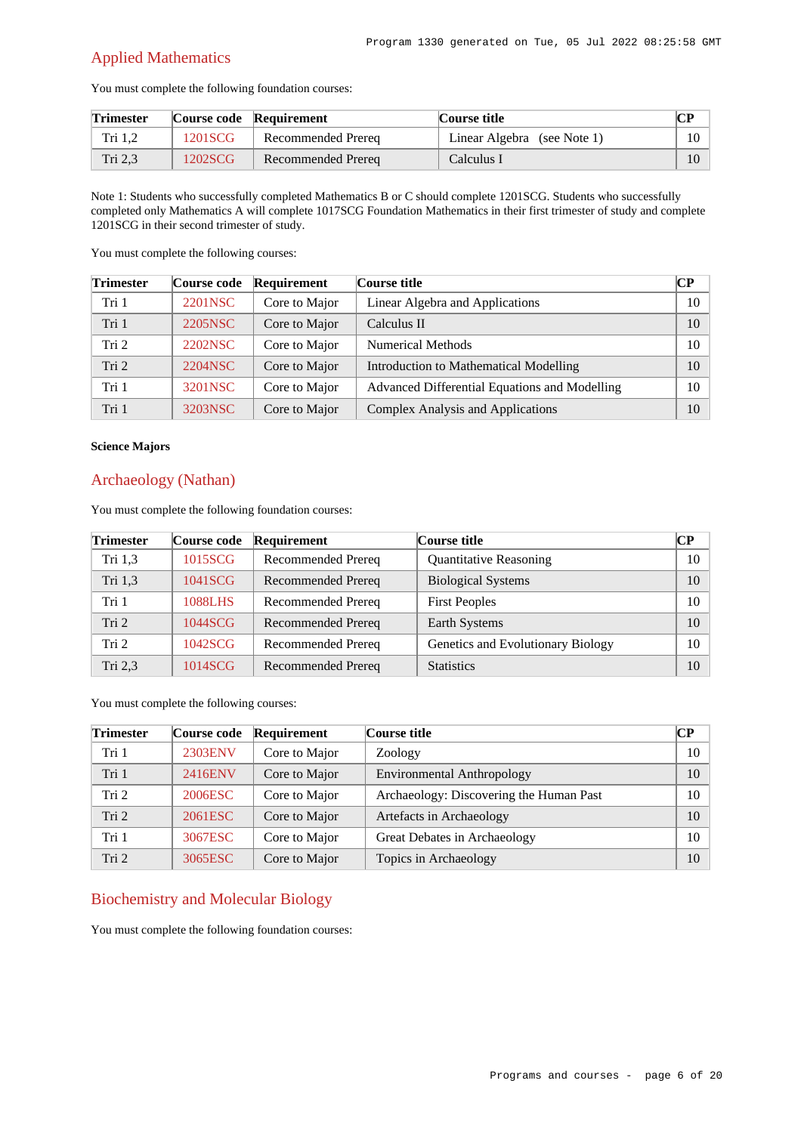## Applied Mathematics

You must complete the following foundation courses:

| <b>Trimester</b> |         | Course code Requirement | Course title                | CР |
|------------------|---------|-------------------------|-----------------------------|----|
| Tri 1.2          | 1201SCG | Recommended Prerea      | Linear Algebra (see Note 1) |    |
| Tri 2.3          | 1202SCG | Recommended Prereg      | Calculus 1                  |    |

Note 1: Students who successfully completed Mathematics B or C should complete 1201SCG. Students who successfully completed only Mathematics A will complete 1017SCG Foundation Mathematics in their first trimester of study and complete 1201SCG in their second trimester of study.

You must complete the following courses:

| <b>Trimester</b> | Course code | Requirement   | Course title                                  | CР |
|------------------|-------------|---------------|-----------------------------------------------|----|
| Tri 1            | 2201NSC     | Core to Major | Linear Algebra and Applications               | 10 |
| Tri 1            | 2205NSC     | Core to Major | Calculus II                                   | 10 |
| Tri 2            | 2202NSC     | Core to Major | <b>Numerical Methods</b>                      | 10 |
| Tri 2            | 2204NSC     | Core to Major | Introduction to Mathematical Modelling        | 10 |
| Tri 1            | 3201NSC     | Core to Major | Advanced Differential Equations and Modelling | 10 |
| Tri 1            | 3203NSC     | Core to Major | Complex Analysis and Applications             | 10 |

### **Science Majors**

### Archaeology (Nathan)

You must complete the following foundation courses:

| <b>Trimester</b> | Course code | Requirement        | Course title                      | CР |
|------------------|-------------|--------------------|-----------------------------------|----|
| Tri 1,3          | 1015SCG     | Recommended Prereq | <b>Quantitative Reasoning</b>     | 10 |
| Tri 1.3          | 1041SCG     | Recommended Prereq | <b>Biological Systems</b>         | 10 |
| Tri 1            | 1088LHS     | Recommended Prereq | <b>First Peoples</b>              | 10 |
| Tri <sub>2</sub> | 1044SCG     | Recommended Prereq | Earth Systems                     | 10 |
| Tri 2            | 1042SCG     | Recommended Prereq | Genetics and Evolutionary Biology | 10 |
| Tri $2,3$        | 1014SCG     | Recommended Prereq | <b>Statistics</b>                 | 10 |

You must complete the following courses:

| <b>Trimester</b> | Course code | Requirement   | Course title                            | CР |
|------------------|-------------|---------------|-----------------------------------------|----|
| Tri 1            | 2303ENV     | Core to Major | Zoology                                 | 10 |
| Tri 1            | 2416ENV     | Core to Major | <b>Environmental Anthropology</b>       | 10 |
| Tri <sub>2</sub> | 2006ESC     | Core to Major | Archaeology: Discovering the Human Past | 10 |
| Tri <sub>2</sub> | 2061ESC     | Core to Major | Artefacts in Archaeology                | 10 |
| Tri 1            | 3067ESC     | Core to Major | Great Debates in Archaeology            | 10 |
| Tri <sub>2</sub> | 3065ESC     | Core to Major | Topics in Archaeology                   | 10 |

### Biochemistry and Molecular Biology

You must complete the following foundation courses: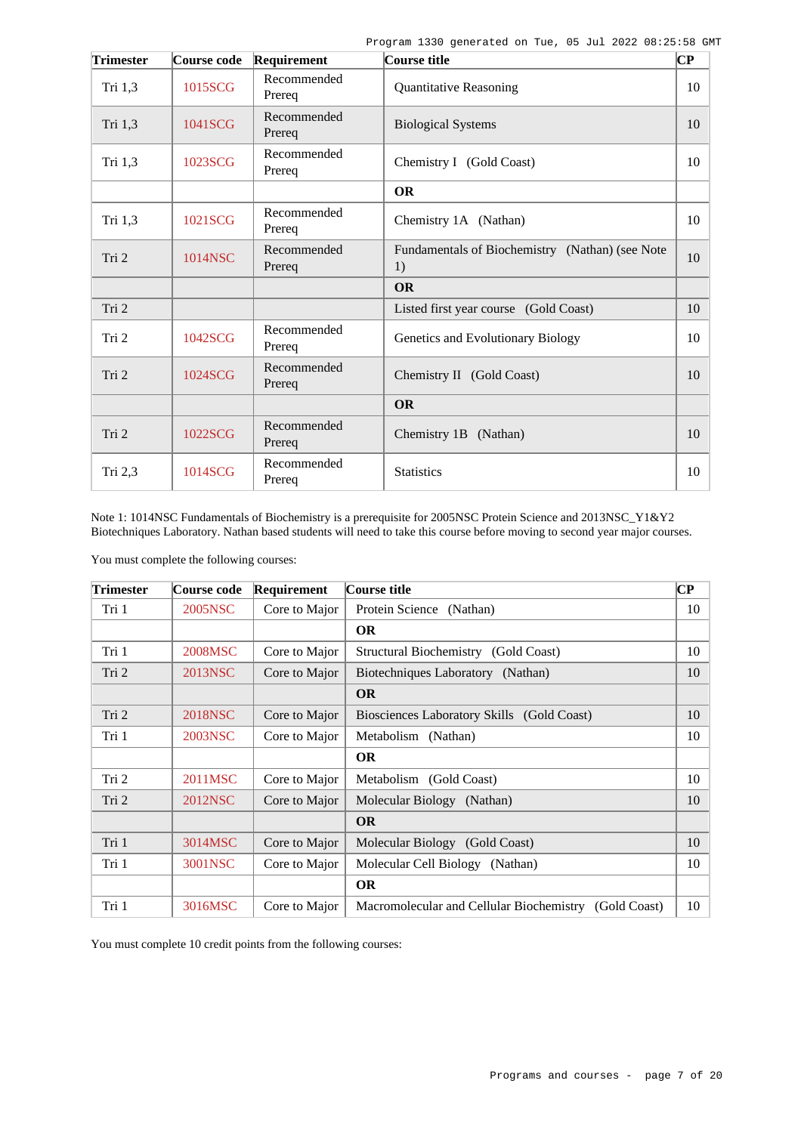| <b>Trimester</b> | Course code | Requirement           | Course title                                          | $\overline{\mathbf{C}\mathbf{P}}$ |
|------------------|-------------|-----------------------|-------------------------------------------------------|-----------------------------------|
| Tri 1,3          | 1015SCG     | Recommended<br>Prereq | <b>Quantitative Reasoning</b>                         | 10                                |
| Tri 1,3          | 1041SCG     | Recommended<br>Prereq | <b>Biological Systems</b>                             | 10                                |
| Tri 1,3          | 1023SCG     | Recommended<br>Prereq | Chemistry I (Gold Coast)                              | 10                                |
|                  |             |                       | <b>OR</b>                                             |                                   |
| Tri 1,3          | 1021SCG     | Recommended<br>Prereq | Chemistry 1A (Nathan)                                 | 10                                |
| Tri 2            | 1014NSC     | Recommended<br>Prereq | Fundamentals of Biochemistry (Nathan) (see Note<br>1) | 10                                |
|                  |             |                       | <b>OR</b>                                             |                                   |
| Tri 2            |             |                       | Listed first year course (Gold Coast)                 | 10                                |
| Tri 2            | 1042SCG     | Recommended<br>Prereq | Genetics and Evolutionary Biology                     | 10                                |
| Tri 2            | 1024SCG     | Recommended<br>Prereq | Chemistry II (Gold Coast)                             | 10                                |
|                  |             |                       | <b>OR</b>                                             |                                   |
| Tri 2            | 1022SCG     | Recommended<br>Prereq | Chemistry 1B (Nathan)                                 | 10                                |
| Tri 2,3          | 1014SCG     | Recommended<br>Prereq | <b>Statistics</b>                                     | 10                                |

Note 1: 1014NSC Fundamentals of Biochemistry is a prerequisite for 2005NSC Protein Science and 2013NSC\_Y1&Y2 Biotechniques Laboratory. Nathan based students will need to take this course before moving to second year major courses.

You must complete the following courses:

| <b>Trimester</b> | Course code | Requirement   | Course title                                             | $\bf CP$ |
|------------------|-------------|---------------|----------------------------------------------------------|----------|
| Tri 1            | 2005NSC     | Core to Major | Protein Science (Nathan)                                 | 10       |
|                  |             |               | <b>OR</b>                                                |          |
| Tri 1            | 2008MSC     | Core to Major | Structural Biochemistry (Gold Coast)                     | 10       |
| Tri 2            | 2013NSC     | Core to Major | Biotechniques Laboratory (Nathan)                        | 10       |
|                  |             |               | <b>OR</b>                                                |          |
| Tri 2            | 2018NSC     | Core to Major | Biosciences Laboratory Skills (Gold Coast)               | 10       |
| Tri 1            | 2003NSC     | Core to Major | Metabolism (Nathan)                                      | 10       |
|                  |             |               | <b>OR</b>                                                |          |
| Tri 2            | 2011MSC     | Core to Major | Metabolism (Gold Coast)                                  | 10       |
| Tri 2            | 2012NSC     | Core to Major | Molecular Biology (Nathan)                               | 10       |
|                  |             |               | <b>OR</b>                                                |          |
| Tri 1            | 3014MSC     | Core to Major | Molecular Biology (Gold Coast)                           | 10       |
| Tri 1            | 3001NSC     | Core to Major | Molecular Cell Biology<br>(Nathan)                       | 10       |
|                  |             |               | <b>OR</b>                                                |          |
| Tri 1            | 3016MSC     | Core to Major | Macromolecular and Cellular Biochemistry<br>(Gold Coast) | 10       |

You must complete 10 credit points from the following courses: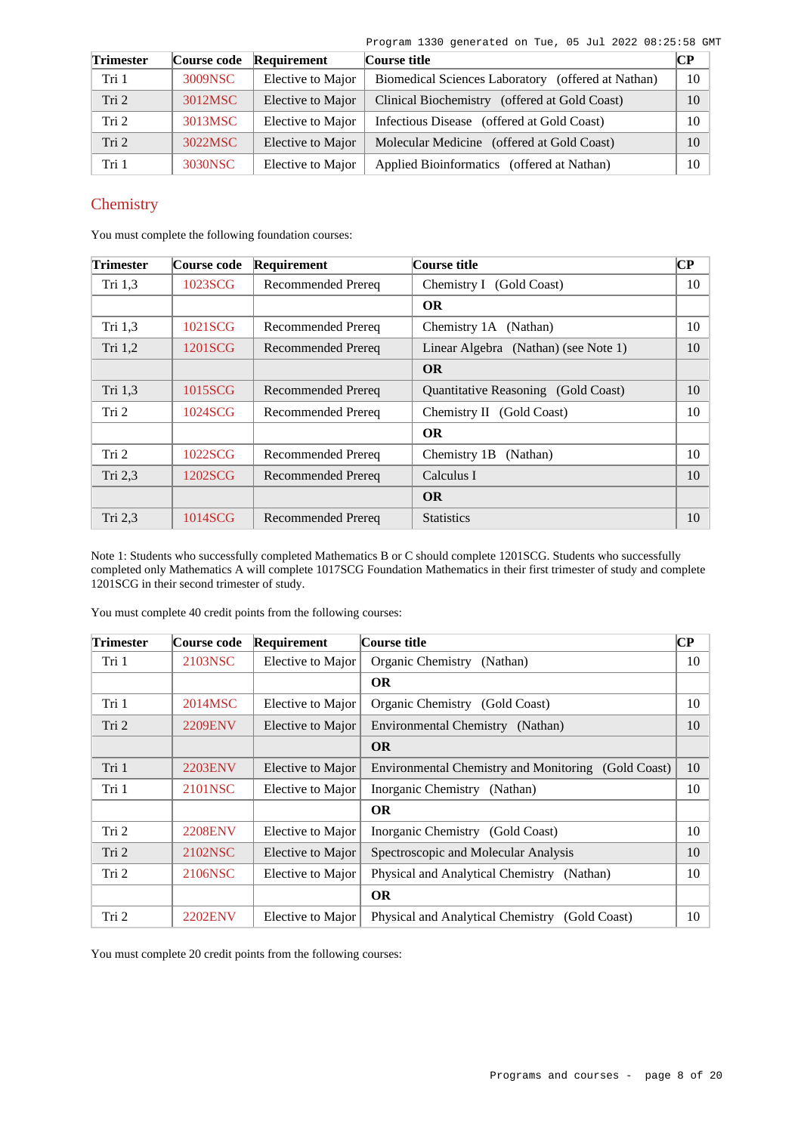| <b>Trimester</b> | Course code | Requirement       | Course title                                                 | CР |
|------------------|-------------|-------------------|--------------------------------------------------------------|----|
| Tri 1            | 3009NSC     | Elective to Major | <b>Biomedical Sciences Laboratory</b><br>(offered at Nathan) | 10 |
| Tri <sub>2</sub> | 3012MSC     | Elective to Major | Clinical Biochemistry (offered at Gold Coast)                | 10 |
| Tri 2            | 3013MSC     | Elective to Major | Infectious Disease (offered at Gold Coast)                   | 10 |
| Tri 2            | 3022MSC     | Elective to Major | Molecular Medicine (offered at Gold Coast)                   | 10 |
| Tri 1            | 3030NSC     | Elective to Major | Applied Bioinformatics (offered at Nathan)                   | 10 |

## **Chemistry**

You must complete the following foundation courses:

| <b>Trimester</b> | Course code | Requirement               | Course title                               | $\bf CP$ |
|------------------|-------------|---------------------------|--------------------------------------------|----------|
| Tri 1,3          | 1023SCG     | <b>Recommended Prereq</b> | Chemistry I (Gold Coast)                   | 10       |
|                  |             |                           | <b>OR</b>                                  |          |
| Tri 1,3          | 1021SCG     | Recommended Prereq        | Chemistry 1A (Nathan)                      | 10       |
| Tri 1,2          | 1201SCG     | <b>Recommended Prereq</b> | Linear Algebra (Nathan) (see Note 1)       | 10       |
|                  |             |                           | <b>OR</b>                                  |          |
| Tri 1,3          | 1015SCG     | Recommended Prereq        | <b>Ouantitative Reasoning</b> (Gold Coast) | 10       |
| Tri 2            | 1024SCG     | Recommended Prereq        | Chemistry II (Gold Coast)                  | 10       |
|                  |             |                           | <b>OR</b>                                  |          |
| Tri 2            | 1022SCG     | Recommended Prereq        | Chemistry 1B<br>(Nathan)                   | 10       |
| Tri 2,3          | 1202SCG     | <b>Recommended Prereq</b> | Calculus I                                 | 10       |
|                  |             |                           | <b>OR</b>                                  |          |
| Tri 2,3          | 1014SCG     | Recommended Prereq        | <b>Statistics</b>                          | 10       |

Note 1: Students who successfully completed Mathematics B or C should complete 1201SCG. Students who successfully completed only Mathematics A will complete 1017SCG Foundation Mathematics in their first trimester of study and complete 1201SCG in their second trimester of study.

You must complete 40 credit points from the following courses:

| <b>Trimester</b> | Course code    | Requirement       | Course title                                        | $\bf CP$ |
|------------------|----------------|-------------------|-----------------------------------------------------|----------|
| Tri 1            | 2103NSC        | Elective to Major | Organic Chemistry (Nathan)                          | 10       |
|                  |                |                   | <b>OR</b>                                           |          |
| Tri 1            | 2014MSC        | Elective to Major | Organic Chemistry (Gold Coast)                      | 10       |
| Tri 2            | <b>2209ENV</b> | Elective to Major | Environmental Chemistry (Nathan)                    | 10       |
|                  |                |                   | <b>OR</b>                                           |          |
| Tri 1            | <b>2203ENV</b> | Elective to Major | Environmental Chemistry and Monitoring (Gold Coast) | 10       |
| Tri 1            | 2101NSC        | Elective to Major | Inorganic Chemistry (Nathan)                        | 10       |
|                  |                |                   | <b>OR</b>                                           |          |
| Tri 2            | <b>2208ENV</b> | Elective to Major | Inorganic Chemistry (Gold Coast)                    | 10       |
| Tri 2            | 2102NSC        | Elective to Major | Spectroscopic and Molecular Analysis                | 10       |
| Tri 2            | 2106NSC        | Elective to Major | Physical and Analytical Chemistry (Nathan)          | 10       |
|                  |                |                   | <b>OR</b>                                           |          |
| Tri 2            | <b>2202ENV</b> | Elective to Major | Physical and Analytical Chemistry (Gold Coast)      | 10       |

You must complete 20 credit points from the following courses: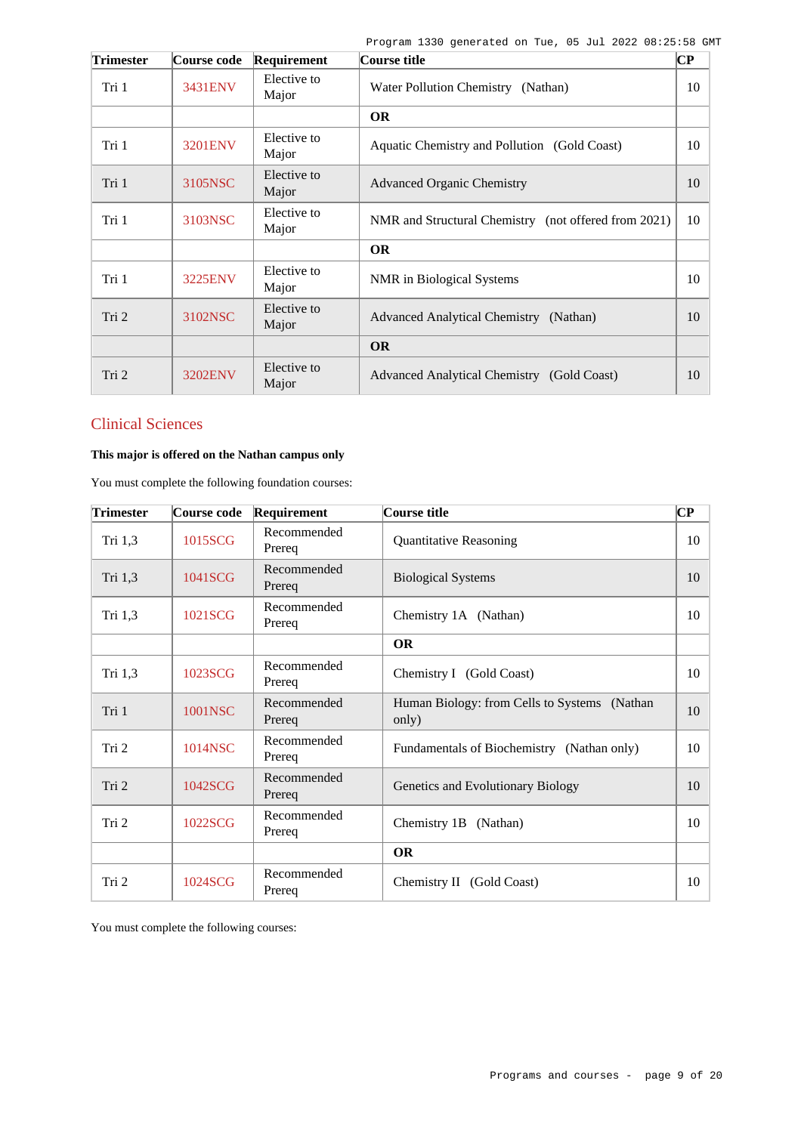| <b>Trimester</b> | Course code | Requirement          | Course title                                         | $\overline{\mathbf{C}\mathbf{P}}$ |
|------------------|-------------|----------------------|------------------------------------------------------|-----------------------------------|
| Tri 1            | 3431ENV     | Elective to<br>Major | Water Pollution Chemistry (Nathan)                   | 10                                |
|                  |             |                      | <b>OR</b>                                            |                                   |
| Tri 1            | 3201ENV     | Elective to<br>Major | Aquatic Chemistry and Pollution (Gold Coast)         | 10                                |
| Tri 1            | 3105NSC     | Elective to<br>Major | <b>Advanced Organic Chemistry</b>                    | 10                                |
| Tri 1            | 3103NSC     | Elective to<br>Major | NMR and Structural Chemistry (not offered from 2021) | 10                                |
|                  |             |                      | <b>OR</b>                                            |                                   |
| Tri 1            | 3225ENV     | Elective to<br>Major | NMR in Biological Systems                            | 10                                |
| Tri 2            | 3102NSC     | Elective to<br>Major | Advanced Analytical Chemistry (Nathan)               | 10                                |
|                  |             |                      | <b>OR</b>                                            |                                   |
| Tri 2            | 3202ENV     | Elective to<br>Major | Advanced Analytical Chemistry (Gold Coast)           | 10                                |

## Clinical Sciences

## **This major is offered on the Nathan campus only**

You must complete the following foundation courses:

| <b>Trimester</b> | Course code | Requirement           | Course title                                          | $\mathbf{C}\mathbf{P}$ |
|------------------|-------------|-----------------------|-------------------------------------------------------|------------------------|
| Tri 1,3          | 1015SCG     | Recommended<br>Prereq | <b>Quantitative Reasoning</b>                         | 10                     |
| Tri 1,3          | 1041SCG     | Recommended<br>Prereq | <b>Biological Systems</b>                             | 10                     |
| Tri 1,3          | 1021SCG     | Recommended<br>Prereq | Chemistry 1A (Nathan)                                 | 10                     |
|                  |             |                       | <b>OR</b>                                             |                        |
| Tri 1,3          | 1023SCG     | Recommended<br>Prereq | Chemistry I (Gold Coast)                              | 10                     |
| Tri 1            | 1001NSC     | Recommended<br>Prereq | Human Biology: from Cells to Systems (Nathan<br>only) | 10                     |
| Tri 2            | 1014NSC     | Recommended<br>Prereq | Fundamentals of Biochemistry (Nathan only)            | 10                     |
| Tri 2            | 1042SCG     | Recommended<br>Prereg | Genetics and Evolutionary Biology                     | 10                     |
| Tri 2            | 1022SCG     | Recommended<br>Prereq | Chemistry 1B (Nathan)                                 | 10                     |
|                  |             |                       | <b>OR</b>                                             |                        |
| Tri 2            | 1024SCG     | Recommended<br>Prereq | Chemistry II (Gold Coast)                             | 10                     |

You must complete the following courses: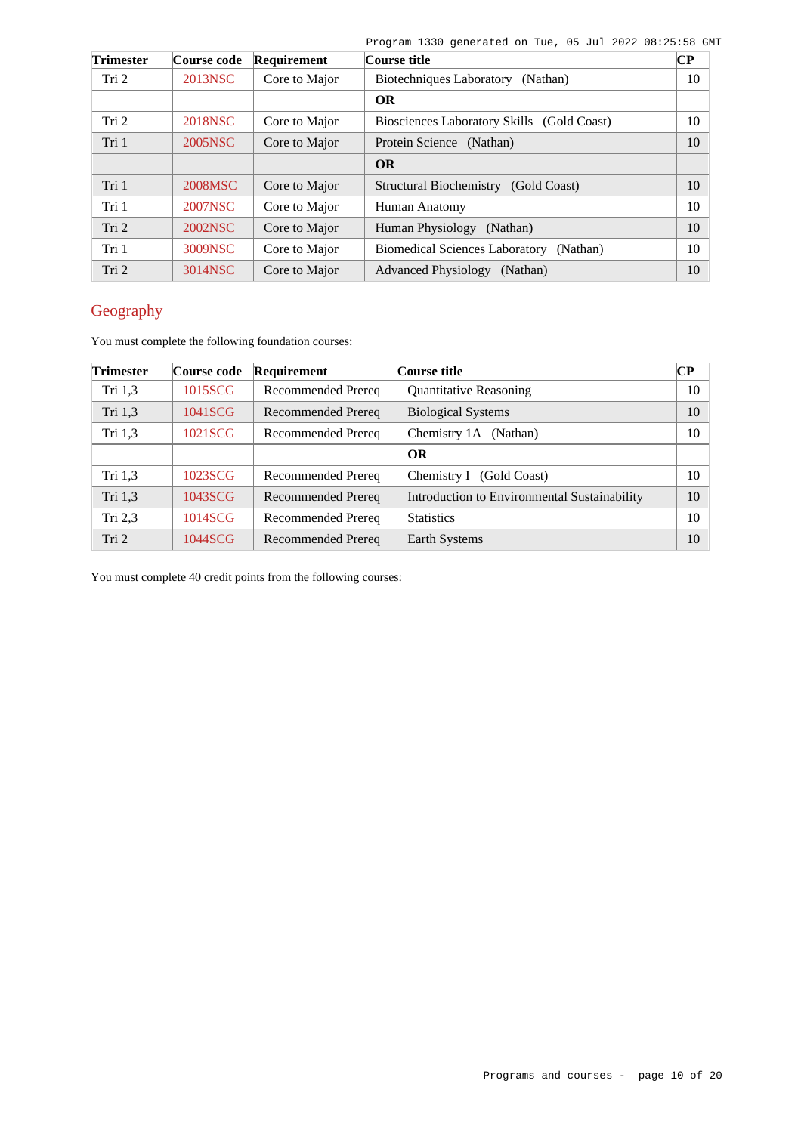| <b>Trimester</b> | Course code | Requirement   | Course title                                      | $\bf CP$ |
|------------------|-------------|---------------|---------------------------------------------------|----------|
| Tri 2            | 2013NSC     | Core to Major | Biotechniques Laboratory<br>(Nathan)              | 10       |
|                  |             |               | <b>OR</b>                                         |          |
| Tri 2            | 2018NSC     | Core to Major | Biosciences Laboratory Skills (Gold Coast)        | 10       |
| Tri 1            | 2005NSC     | Core to Major | Protein Science (Nathan)                          | 10       |
|                  |             |               | <b>OR</b>                                         |          |
| Tri 1            | 2008MSC     | Core to Major | Structural Biochemistry<br>(Gold Coast)           | 10       |
| Tri 1            | 2007NSC     | Core to Major | Human Anatomy                                     | 10       |
| Tri 2            | 2002NSC     | Core to Major | Human Physiology<br>(Nathan)                      | 10       |
| Tri 1            | 3009NSC     | Core to Major | <b>Biomedical Sciences Laboratory</b><br>(Nathan) | 10       |
| Tri 2            | 3014NSC     | Core to Major | <b>Advanced Physiology</b><br>(Nathan)            | 10       |

# Geography

You must complete the following foundation courses:

| <b>Trimester</b> | Course code | Requirement        | Course title                                 | CР |
|------------------|-------------|--------------------|----------------------------------------------|----|
| Tri $1,3$        | 1015SCG     | Recommended Prereq | <b>Quantitative Reasoning</b>                | 10 |
| Tri 1,3          | 1041SCG     | Recommended Prereq | <b>Biological Systems</b>                    | 10 |
| Tri 1,3          | 1021SCG     | Recommended Prereq | Chemistry 1A (Nathan)                        | 10 |
|                  |             |                    | <b>OR</b>                                    |    |
| Tri 1,3          | 1023SCG     | Recommended Prereq | Chemistry I (Gold Coast)                     | 10 |
| Tri 1,3          | 1043SCG     | Recommended Prereq | Introduction to Environmental Sustainability | 10 |
| Tri $2,3$        | 1014SCG     | Recommended Prereq | <b>Statistics</b>                            | 10 |
| Tri 2            | 1044SCG     | Recommended Prereq | Earth Systems                                | 10 |

You must complete 40 credit points from the following courses: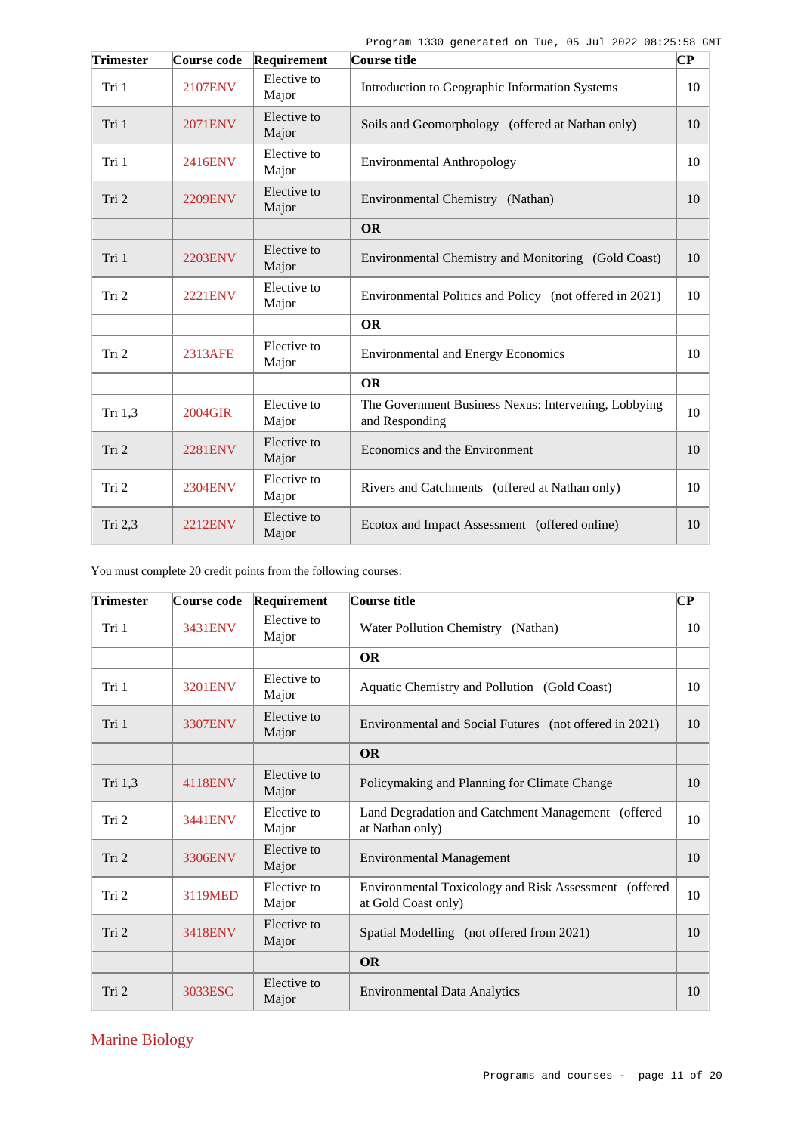| <b>Trimester</b> | Course code    | Requirement          | Course title                                                           | $\overline{\mathbf{C}\mathbf{P}}$ |
|------------------|----------------|----------------------|------------------------------------------------------------------------|-----------------------------------|
| Tri 1            | 2107ENV        | Elective to<br>Major | Introduction to Geographic Information Systems                         | 10                                |
| Tri 1            | <b>2071ENV</b> | Elective to<br>Major | Soils and Geomorphology (offered at Nathan only)                       | 10                                |
| Tri 1            | 2416ENV        | Elective to<br>Major | <b>Environmental Anthropology</b>                                      | 10                                |
| Tri 2            | <b>2209ENV</b> | Elective to<br>Major | Environmental Chemistry (Nathan)                                       | 10                                |
|                  |                |                      | <b>OR</b>                                                              |                                   |
| Tri 1            | <b>2203ENV</b> | Elective to<br>Major | Environmental Chemistry and Monitoring (Gold Coast)                    | 10                                |
| Tri 2            | <b>2221ENV</b> | Elective to<br>Major | Environmental Politics and Policy (not offered in 2021)                | 10                                |
|                  |                |                      | <b>OR</b>                                                              |                                   |
| Tri 2            | 2313AFE        | Elective to<br>Major | <b>Environmental and Energy Economics</b>                              | 10                                |
|                  |                |                      | <b>OR</b>                                                              |                                   |
| Tri 1,3          | 2004GIR        | Elective to<br>Major | The Government Business Nexus: Intervening, Lobbying<br>and Responding | 10                                |
| Tri 2            | <b>2281ENV</b> | Elective to<br>Major | Economics and the Environment                                          | 10                                |
| Tri 2            | <b>2304ENV</b> | Elective to<br>Major | Rivers and Catchments (offered at Nathan only)                         | 10                                |
| Tri 2,3          | <b>2212ENV</b> | Elective to<br>Major | Ecotox and Impact Assessment (offered online)                          | 10                                |

You must complete 20 credit points from the following courses:

| <b>Trimester</b> | Course code    | Requirement          | Course title                                                                 | $\bf CP$ |
|------------------|----------------|----------------------|------------------------------------------------------------------------------|----------|
| Tri 1            | 3431ENV        | Elective to<br>Major | Water Pollution Chemistry<br>(Nathan)                                        | 10       |
|                  |                |                      | <b>OR</b>                                                                    |          |
| Tri 1            | 3201ENV        | Elective to<br>Major | Aquatic Chemistry and Pollution (Gold Coast)                                 | 10       |
| Tri 1            | <b>3307ENV</b> | Elective to<br>Major | Environmental and Social Futures (not offered in 2021)                       | 10       |
|                  |                |                      | <b>OR</b>                                                                    |          |
| Tri 1,3          | 4118ENV        | Elective to<br>Major | Policymaking and Planning for Climate Change                                 | 10       |
| Tri 2            | 3441ENV        | Elective to<br>Major | Land Degradation and Catchment Management (offered<br>at Nathan only)        | 10       |
| Tri 2            | 3306ENV        | Elective to<br>Major | <b>Environmental Management</b>                                              | 10       |
| Tri 2            | 3119MED        | Elective to<br>Major | Environmental Toxicology and Risk Assessment (offered<br>at Gold Coast only) | 10       |
| Tri 2            | 3418ENV        | Elective to<br>Major | Spatial Modelling (not offered from 2021)                                    | 10       |
|                  |                |                      | <b>OR</b>                                                                    |          |
| Tri 2            | 3033ESC        | Elective to<br>Major | <b>Environmental Data Analytics</b>                                          | 10       |

# Marine Biology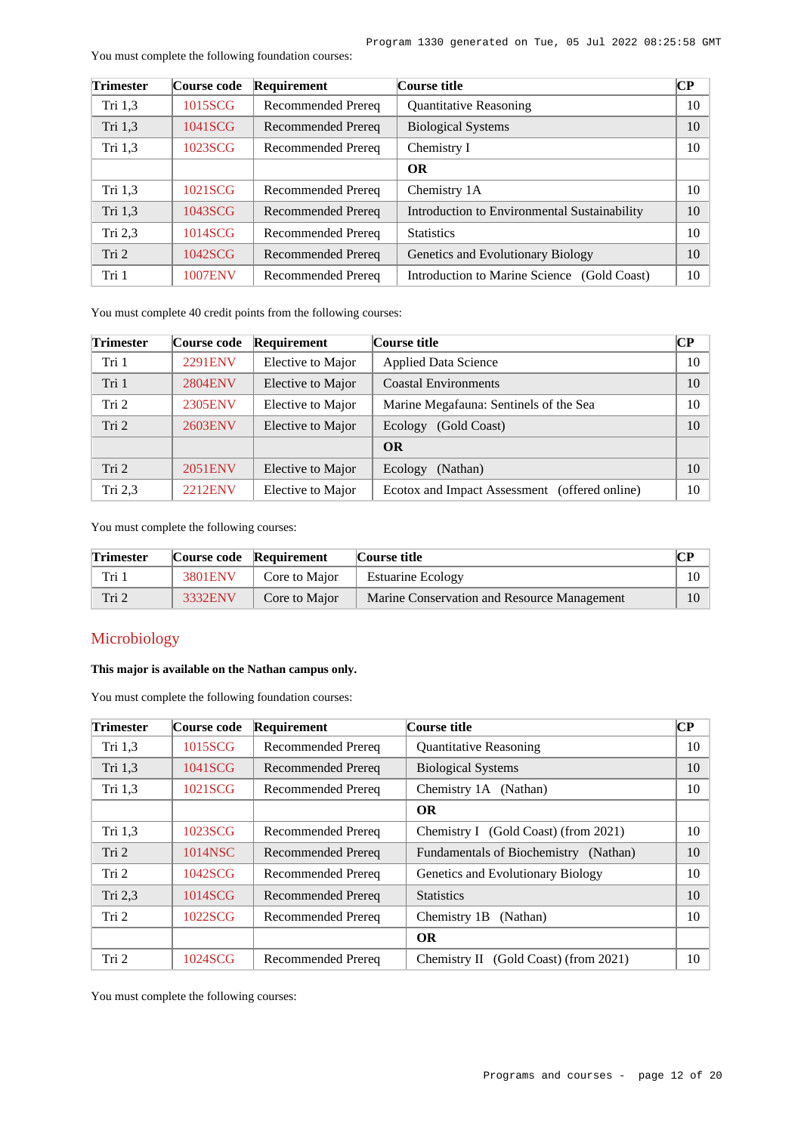| <b>Trimester</b> | Course code    | Requirement        | Course title                                 | $\overline{\mathbf{CP}}$ |
|------------------|----------------|--------------------|----------------------------------------------|--------------------------|
| Tri 1,3          | 1015SCG        | Recommended Prereq | <b>Quantitative Reasoning</b>                | 10                       |
| Tri 1,3          | 1041SCG        | Recommended Prereq | <b>Biological Systems</b>                    | 10                       |
| Tri 1,3          | 1023SCG        | Recommended Prereq | Chemistry I                                  | 10                       |
|                  |                |                    | <b>OR</b>                                    |                          |
| Tri 1,3          | 1021SCG        | Recommended Prereq | Chemistry 1A                                 | 10                       |
| Tri 1,3          | 1043SCG        | Recommended Prereq | Introduction to Environmental Sustainability | 10                       |
| Tri $2,3$        | 1014SCG        | Recommended Prereq | <b>Statistics</b>                            | 10                       |
| Tri 2            | 1042SCG        | Recommended Prereq | Genetics and Evolutionary Biology            | 10                       |
| Tri 1            | <b>1007ENV</b> | Recommended Prereq | Introduction to Marine Science (Gold Coast)  | 10                       |

You must complete the following foundation courses:

You must complete 40 credit points from the following courses:

| <b>Trimester</b> | Course code    | Requirement       | Course title                                  | CР |
|------------------|----------------|-------------------|-----------------------------------------------|----|
| Tri 1            | 2291ENV        | Elective to Major | <b>Applied Data Science</b>                   | 10 |
| Tri 1            | <b>2804ENV</b> | Elective to Major | <b>Coastal Environments</b>                   | 10 |
| Tri 2            | 2305ENV        | Elective to Major | Marine Megafauna: Sentinels of the Sea        | 10 |
| Tri 2            | 2603ENV        | Elective to Major | Ecology<br>(Gold Coast)                       | 10 |
|                  |                |                   | <b>OR</b>                                     |    |
| Tri 2            | 2051ENV        | Elective to Major | (Nathan)<br>Ecology                           | 10 |
| Tri $2,3$        | <b>2212ENV</b> | Elective to Major | Ecotox and Impact Assessment (offered online) | 10 |

You must complete the following courses:

| <b>Trimester</b> |         | Course code Requirement | Course title                                | CР |
|------------------|---------|-------------------------|---------------------------------------------|----|
| Tri 1            | 3801ENV | Core to Maior           | <b>Estuarine Ecology</b>                    |    |
| Tri 2            | 3332ENV | Core to Major           | Marine Conservation and Resource Management |    |

### Microbiology

### **This major is available on the Nathan campus only.**

You must complete the following foundation courses:

| <b>Trimester</b> | Course code | <b>Requirement</b>        | Course title                             | CР |
|------------------|-------------|---------------------------|------------------------------------------|----|
| Tri $1,3$        | 1015SCG     | Recommended Prereq        | <b>Quantitative Reasoning</b>            | 10 |
| Tri 1,3          | 1041SCG     | Recommended Prereq        | <b>Biological Systems</b>                | 10 |
| Tri $1,3$        | 1021SCG     | Recommended Prereq        | Chemistry 1A (Nathan)                    | 10 |
|                  |             |                           | <b>OR</b>                                |    |
| Tri $1,3$        | 1023SCG     | Recommended Prereq        | Chemistry I (Gold Coast) (from 2021)     | 10 |
| Tri 2            | 1014NSC     | <b>Recommended Prereq</b> | Fundamentals of Biochemistry (Nathan)    | 10 |
| Tri <sub>2</sub> | 1042SCG     | <b>Recommended Prereq</b> | Genetics and Evolutionary Biology        | 10 |
| Tri 2,3          | 1014SCG     | Recommended Prereq        | <b>Statistics</b>                        | 10 |
| Tri 2            | 1022SCG     | Recommended Prereq        | Chemistry 1B<br>(Nathan)                 | 10 |
|                  |             |                           | <b>OR</b>                                |    |
| Tri 2            | 1024SCG     | Recommended Prereq        | (Gold Coast) (from 2021)<br>Chemistry II | 10 |

You must complete the following courses: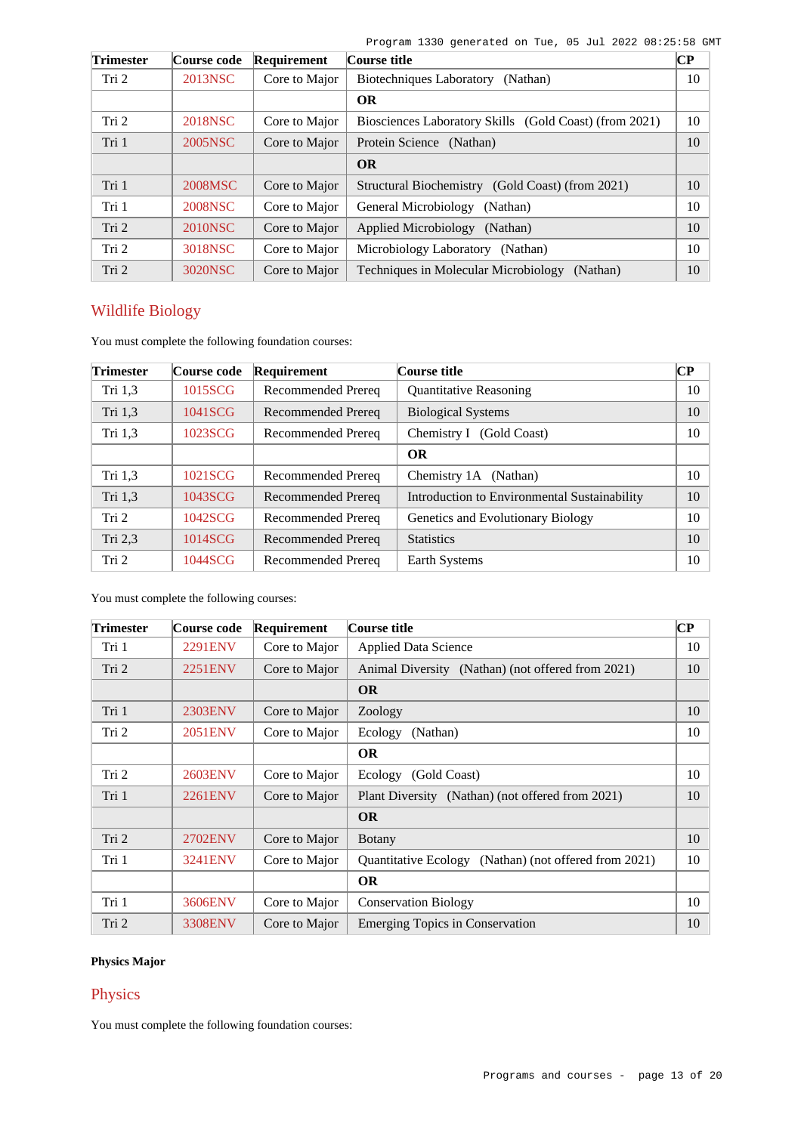| <b>Trimester</b> | Course code    | Requirement   | Course title                                           | $ {\bf CP} $ |
|------------------|----------------|---------------|--------------------------------------------------------|--------------|
| Tri 2            | 2013NSC        | Core to Major | <b>Biotechniques Laboratory</b><br>(Nathan)            | 10           |
|                  |                |               | <b>OR</b>                                              |              |
| Tri 2            | 2018NSC        | Core to Major | Biosciences Laboratory Skills (Gold Coast) (from 2021) | 10           |
| Tri 1            | 2005NSC        | Core to Major | Protein Science (Nathan)                               | 10           |
|                  |                |               | <b>OR</b>                                              |              |
| Tri 1            | 2008MSC        | Core to Major | Structural Biochemistry (Gold Coast) (from 2021)       | 10           |
| Tri 1            | <b>2008NSC</b> | Core to Major | General Microbiology<br>(Nathan)                       | 10           |
| Tri 2            | 2010NSC        | Core to Major | Applied Microbiology (Nathan)                          | 10           |
| Tri 2            | 3018NSC        | Core to Major | Microbiology Laboratory (Nathan)                       | 10           |
| Tri 2            | 3020NSC        | Core to Major | Techniques in Molecular Microbiology<br>(Nathan)       | 10           |

# Wildlife Biology

You must complete the following foundation courses:

| <b>Trimester</b> | Course code | Requirement               | Course title                                 | $\overline{\mathbf{CP}}$ |
|------------------|-------------|---------------------------|----------------------------------------------|--------------------------|
| Tri 1,3          | 1015SCG     | Recommended Prereq        | <b>Quantitative Reasoning</b>                | 10                       |
| Tri 1,3          | 1041SCG     | Recommended Prereq        | <b>Biological Systems</b>                    | 10                       |
| Tri $1,3$        | 1023SCG     | Recommended Prereq        | Chemistry I (Gold Coast)                     | 10                       |
|                  |             |                           | <b>OR</b>                                    |                          |
| Tri $1,3$        | 1021SCG     | Recommended Prereq        | Chemistry 1A (Nathan)                        | 10                       |
| Tri 1,3          | 1043SCG     | <b>Recommended Prereq</b> | Introduction to Environmental Sustainability | 10                       |
| Tri 2            | 1042SCG     | Recommended Prereq        | Genetics and Evolutionary Biology            | 10                       |
| Tri 2,3          | 1014SCG     | Recommended Prereq        | <b>Statistics</b>                            | 10                       |
| Tri 2            | 1044SCG     | Recommended Prereq        | Earth Systems                                | 10                       |

You must complete the following courses:

| <b>Trimester</b> | Course code    | <b>Requirement</b> | Course title                                                    | $\bf CP$ |
|------------------|----------------|--------------------|-----------------------------------------------------------------|----------|
| Tri 1            | <b>2291ENV</b> | Core to Major      | <b>Applied Data Science</b>                                     | 10       |
| Tri <sub>2</sub> | 2251ENV        | Core to Major      | Animal Diversity (Nathan) (not offered from 2021)               | 10       |
|                  |                |                    | <b>OR</b>                                                       |          |
| Tri 1            | 2303ENV        | Core to Major      | Zoology                                                         | 10       |
| Tri 2            | 2051ENV        | Core to Major      | Ecology<br>(Nathan)                                             | 10       |
|                  |                |                    | <b>OR</b>                                                       |          |
| Tri 2            | 2603ENV        | Core to Major      | Ecology (Gold Coast)                                            | 10       |
| Tri 1            | <b>2261ENV</b> | Core to Major      | Plant Diversity (Nathan) (not offered from 2021)                | 10       |
|                  |                |                    | <b>OR</b>                                                       |          |
| Tri 2            | 2702ENV        | Core to Major      | <b>Botany</b>                                                   | 10       |
| Tri 1            | 3241ENV        | Core to Major      | <b>Quantitative Ecology</b><br>(Nathan) (not offered from 2021) | 10       |
|                  |                |                    | <b>OR</b>                                                       |          |
| Tri 1            | 3606ENV        | Core to Major      | <b>Conservation Biology</b>                                     | 10       |
| Tri 2            | <b>3308ENV</b> | Core to Major      | <b>Emerging Topics in Conservation</b>                          | 10       |

## **Physics Major**

## Physics

You must complete the following foundation courses: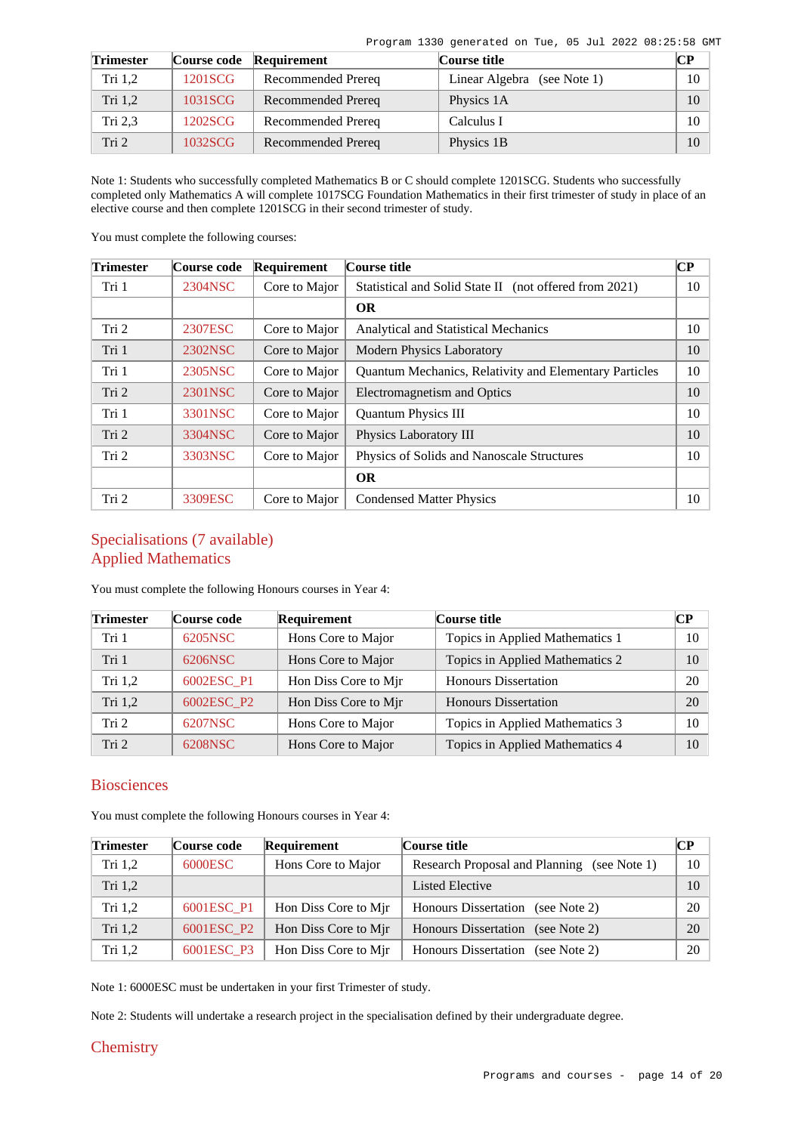| <b>Trimester</b> |         | Course code Requirement | <b>Course title</b>         | CР |
|------------------|---------|-------------------------|-----------------------------|----|
| Tri $1,2$        | 1201SCG | Recommended Prereq      | Linear Algebra (see Note 1) | 10 |
| Tri $1,2$        | 1031SCG | Recommended Prereq      | Physics 1A                  | 10 |
| Tri 2.3          | 1202SCG | Recommended Prereq      | Calculus I                  | 10 |
| Tri <sub>2</sub> | 1032SCG | Recommended Prereq      | Physics 1B                  | 10 |

Note 1: Students who successfully completed Mathematics B or C should complete 1201SCG. Students who successfully completed only Mathematics A will complete 1017SCG Foundation Mathematics in their first trimester of study in place of an elective course and then complete 1201SCG in their second trimester of study.

You must complete the following courses:

| <b>Trimester</b> | Course code | Requirement   | Course title                                                  | CР |
|------------------|-------------|---------------|---------------------------------------------------------------|----|
| Tri 1            | 2304NSC     | Core to Major | Statistical and Solid State II (not offered from 2021)        | 10 |
|                  |             |               | <b>OR</b>                                                     |    |
| Tri 2            | 2307ESC     | Core to Major | <b>Analytical and Statistical Mechanics</b>                   | 10 |
| Tri 1            | 2302NSC     | Core to Major | <b>Modern Physics Laboratory</b>                              | 10 |
| Tri 1            | 2305NSC     | Core to Major | <b>Quantum Mechanics, Relativity and Elementary Particles</b> | 10 |
| Tri 2            | 2301NSC     | Core to Major | Electromagnetism and Optics                                   | 10 |
| Tri 1            | 3301NSC     | Core to Major | <b>Quantum Physics III</b>                                    | 10 |
| Tri 2            | 3304NSC     | Core to Major | Physics Laboratory III                                        | 10 |
| Tri 2            | 3303NSC     | Core to Major | Physics of Solids and Nanoscale Structures                    | 10 |
|                  |             |               | <b>OR</b>                                                     |    |
| Tri 2            | 3309ESC     | Core to Major | <b>Condensed Matter Physics</b>                               | 10 |

# Specialisations (7 available) Applied Mathematics

You must complete the following Honours courses in Year 4:

| <b>Trimester</b> | Course code | Requirement          | Course title                    | CР |
|------------------|-------------|----------------------|---------------------------------|----|
| Tri 1            | 6205NSC     | Hons Core to Major   | Topics in Applied Mathematics 1 | 10 |
| Tri 1            | 6206NSC     | Hons Core to Major   | Topics in Applied Mathematics 2 | 10 |
| Tri $1,2$        | 6002ESC P1  | Hon Diss Core to Mir | <b>Honours Dissertation</b>     | 20 |
| Tri 1,2          | 6002ESC P2  | Hon Diss Core to Mir | <b>Honours Dissertation</b>     | 20 |
| Tri 2            | 6207NSC     | Hons Core to Major   | Topics in Applied Mathematics 3 | 10 |
| Tri 2            | 6208NSC     | Hons Core to Major   | Topics in Applied Mathematics 4 | 10 |

### **Biosciences**

You must complete the following Honours courses in Year 4:

| <b>Trimester</b> | Course code | Requirement          | Course title                                | CР     |
|------------------|-------------|----------------------|---------------------------------------------|--------|
| Tri $1,2$        | 6000ESC     | Hons Core to Major   | Research Proposal and Planning (see Note 1) | $10-1$ |
| Tri $1,2$        |             |                      | Listed Elective                             | 10     |
| Tri $1,2$        | 6001ESC P1  | Hon Diss Core to Mir | Honours Dissertation (see Note 2)           | $20-1$ |
| Tri $1,2$        | 6001ESC P2  | Hon Diss Core to Mir | Honours Dissertation (see Note 2)           | 20     |
| Tri $1,2$        | 6001ESC P3  | Hon Diss Core to Mir | <b>Honours Dissertation</b><br>(see Note 2) | $20-1$ |

Note 1: 6000ESC must be undertaken in your first Trimester of study.

Note 2: Students will undertake a research project in the specialisation defined by their undergraduate degree.

### **Chemistry**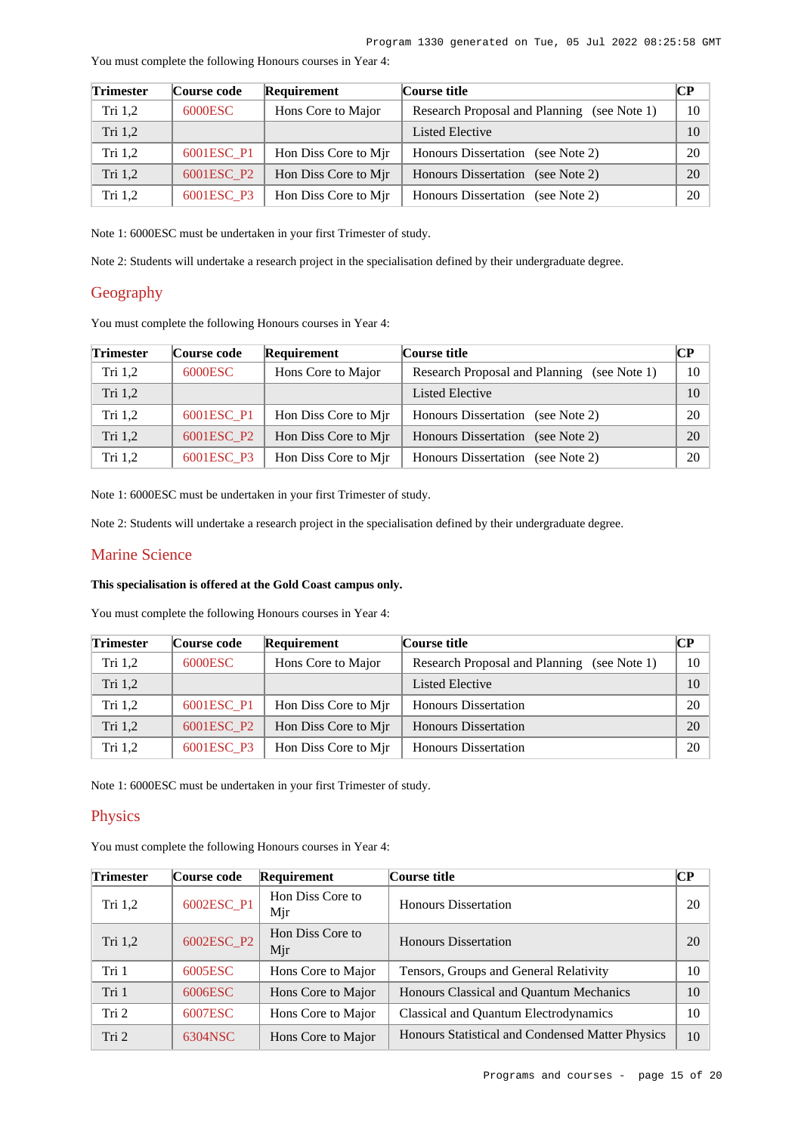| <b>Trimester</b> | Course code | Requirement          | Course title                                | $\bf CP$        |
|------------------|-------------|----------------------|---------------------------------------------|-----------------|
| Tri 1,2          | 6000ESC     | Hons Core to Major   | Research Proposal and Planning (see Note 1) | $10-10$         |
| Tri $1,2$        |             |                      | Listed Elective                             | 10 <sup>1</sup> |
| Tri $1,2$        | 6001ESC P1  | Hon Diss Core to Mjr | Honours Dissertation (see Note 2)           | 20              |
| Tri 1,2          | 6001ESC P2  | Hon Diss Core to Mir | <b>Honours Dissertation</b><br>(see Note 2) | 20              |
| Tri $1,2$        | 6001ESC P3  | Hon Diss Core to Mjr | <b>Honours Dissertation</b><br>(see Note 2) | 20              |

You must complete the following Honours courses in Year 4:

Note 1: 6000ESC must be undertaken in your first Trimester of study.

Note 2: Students will undertake a research project in the specialisation defined by their undergraduate degree.

### Geography

You must complete the following Honours courses in Year 4:

| <b>Trimester</b> | Course code | Requirement          | Course title                                   | CP. |
|------------------|-------------|----------------------|------------------------------------------------|-----|
| Tri $1,2$        | 6000ESC     | Hons Core to Major   | Research Proposal and Planning<br>(see Note 1) | 10  |
| Tri $1,2$        |             |                      | <b>Listed Elective</b>                         | 10  |
| Tri $1,2$        | 6001ESC_P1  | Hon Diss Core to Mjr | Honours Dissertation (see Note 2)              | 20  |
| Tri 1,2          | 6001ESC P2  | Hon Diss Core to Mir | Honours Dissertation (see Note 2)              | 20  |
| Tri $1,2$        | 6001ESC P3  | Hon Diss Core to Mir | <b>Honours Dissertation</b><br>(see Note 2)    | 20  |

Note 1: 6000ESC must be undertaken in your first Trimester of study.

Note 2: Students will undertake a research project in the specialisation defined by their undergraduate degree.

### Marine Science

### **This specialisation is offered at the Gold Coast campus only.**

You must complete the following Honours courses in Year 4:

| <b>Trimester</b> | Course code | Requirement          | Course title                                | <b>CP</b>       |
|------------------|-------------|----------------------|---------------------------------------------|-----------------|
| Tri $1,2$        | 6000ESC     | Hons Core to Major   | Research Proposal and Planning (see Note 1) | 10              |
| Tri $1,2$        |             |                      | Listed Elective                             | 10 <sup>1</sup> |
| Tri $1,2$        | 6001ESC_P1  | Hon Diss Core to Mjr | <b>Honours Dissertation</b>                 | 20              |
| Tri $1,2$        | 6001ESC P2  | Hon Diss Core to Mir | <b>Honours Dissertation</b>                 | 20              |
| Tri $1,2$        | 6001ESC P3  | Hon Diss Core to Mjr | <b>Honours Dissertation</b>                 | 20              |

Note 1: 6000ESC must be undertaken in your first Trimester of study.

### **Physics**

You must complete the following Honours courses in Year 4:

| <b>Trimester</b> | Course code | Requirement             | Course title                                     | CР |
|------------------|-------------|-------------------------|--------------------------------------------------|----|
| Tri $1,2$        | 6002ESC_P1  | Hon Diss Core to<br>Mjr | <b>Honours Dissertation</b>                      | 20 |
| Tri 1,2          | 6002ESC_P2  | Hon Diss Core to<br>Mjr | <b>Honours Dissertation</b>                      | 20 |
| Tri 1            | 6005ESC     | Hons Core to Major      | Tensors, Groups and General Relativity           | 10 |
| Tri 1            | 6006ESC     | Hons Core to Major      | Honours Classical and Quantum Mechanics          | 10 |
| Tri 2            | 6007ESC     | Hons Core to Major      | Classical and Quantum Electrodynamics            | 10 |
| Tri 2            | 6304NSC     | Hons Core to Major      | Honours Statistical and Condensed Matter Physics | 10 |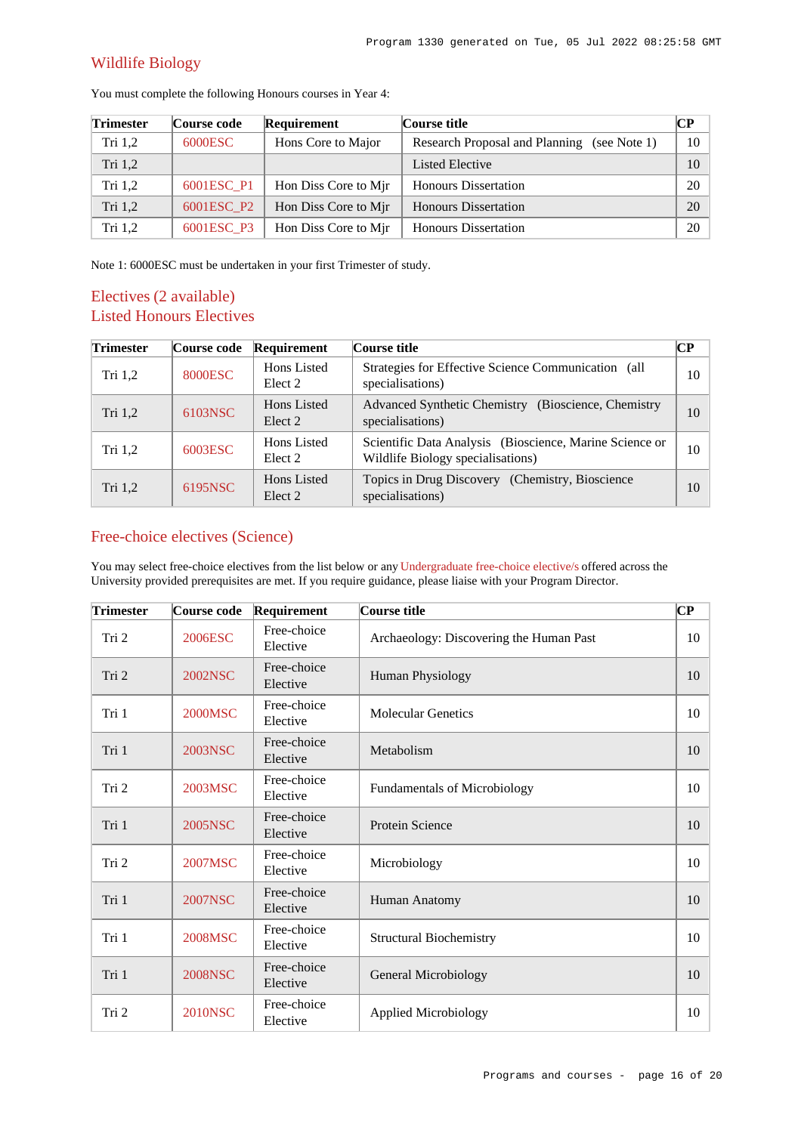# Wildlife Biology

| <b>Trimester</b> | Course code | Requirement          | Course title                                   | CР |
|------------------|-------------|----------------------|------------------------------------------------|----|
| Tri $1,2$        | 6000ESC     | Hons Core to Major   | Research Proposal and Planning<br>(see Note 1) | 10 |
| Tri $1,2$        |             |                      | Listed Elective                                | 10 |
| Tri $1,2$        | 6001ESC P1  | Hon Diss Core to Mir | <b>Honours Dissertation</b>                    | 20 |
| Tri 1,2          | 6001ESC_P2  | Hon Diss Core to Mir | <b>Honours Dissertation</b>                    | 20 |
| Tri $1,2$        | 6001ESC P3  | Hon Diss Core to Mir | <b>Honours Dissertation</b>                    | 20 |

You must complete the following Honours courses in Year 4:

Note 1: 6000ESC must be undertaken in your first Trimester of study.

# Electives (2 available) Listed Honours Electives

| <b>Trimester</b> | Course code    | Requirement            | Course title                                                                                 | CР |
|------------------|----------------|------------------------|----------------------------------------------------------------------------------------------|----|
| Tri $1,2$        | <b>8000ESC</b> | Hons Listed<br>Elect 2 | Strategies for Effective Science Communication (all<br>specialisations)                      | 10 |
| Tri $1,2$        | 6103NSC        | Hons Listed<br>Elect 2 | Advanced Synthetic Chemistry (Bioscience, Chemistry<br>specialisations)                      | 10 |
| Tri $1,2$        | 6003ESC        | Hons Listed<br>Elect 2 | Scientific Data Analysis (Bioscience, Marine Science or<br>Wildlife Biology specialisations) | 10 |
| Tri $1,2$        | 6195NSC        | Hons Listed<br>Elect 2 | Topics in Drug Discovery (Chemistry, Bioscience<br>specialisations)                          | 10 |

## Free-choice electives (Science)

You may select free-choice electives from the list below or any [Undergraduate free-choice elective/s](https://www148.griffith.edu.au/programs-courses/Search/Results?SearchRequestType=CourseCatalogue&AcademicCareerName=UGRD&IsFreeChoiceElective=True) offered across the University provided prerequisites are met. If you require guidance, please liaise with your Program Director.

| <b>Trimester</b> | Course code    | Requirement             | Course title                            | $\mathbf C\mathbf P$ |
|------------------|----------------|-------------------------|-----------------------------------------|----------------------|
| Tri 2            | 2006ESC        | Free-choice<br>Elective | Archaeology: Discovering the Human Past | 10                   |
| Tri 2            | 2002NSC        | Free-choice<br>Elective | Human Physiology                        | 10                   |
| Tri 1            | 2000MSC        | Free-choice<br>Elective | <b>Molecular Genetics</b>               | 10                   |
| Tri 1            | <b>2003NSC</b> | Free-choice<br>Elective | Metabolism                              | 10                   |
| Tri 2            | 2003MSC        | Free-choice<br>Elective | <b>Fundamentals of Microbiology</b>     | 10                   |
| Tri 1            | 2005NSC        | Free-choice<br>Elective | <b>Protein Science</b>                  | 10                   |
| Tri 2            | 2007MSC        | Free-choice<br>Elective | Microbiology                            | 10                   |
| Tri 1            | <b>2007NSC</b> | Free-choice<br>Elective | Human Anatomy                           | 10                   |
| Tri 1            | 2008MSC        | Free-choice<br>Elective | <b>Structural Biochemistry</b>          | 10                   |
| Tri 1            | <b>2008NSC</b> | Free-choice<br>Elective | General Microbiology                    | 10                   |
| Tri 2            | <b>2010NSC</b> | Free-choice<br>Elective | <b>Applied Microbiology</b>             | 10                   |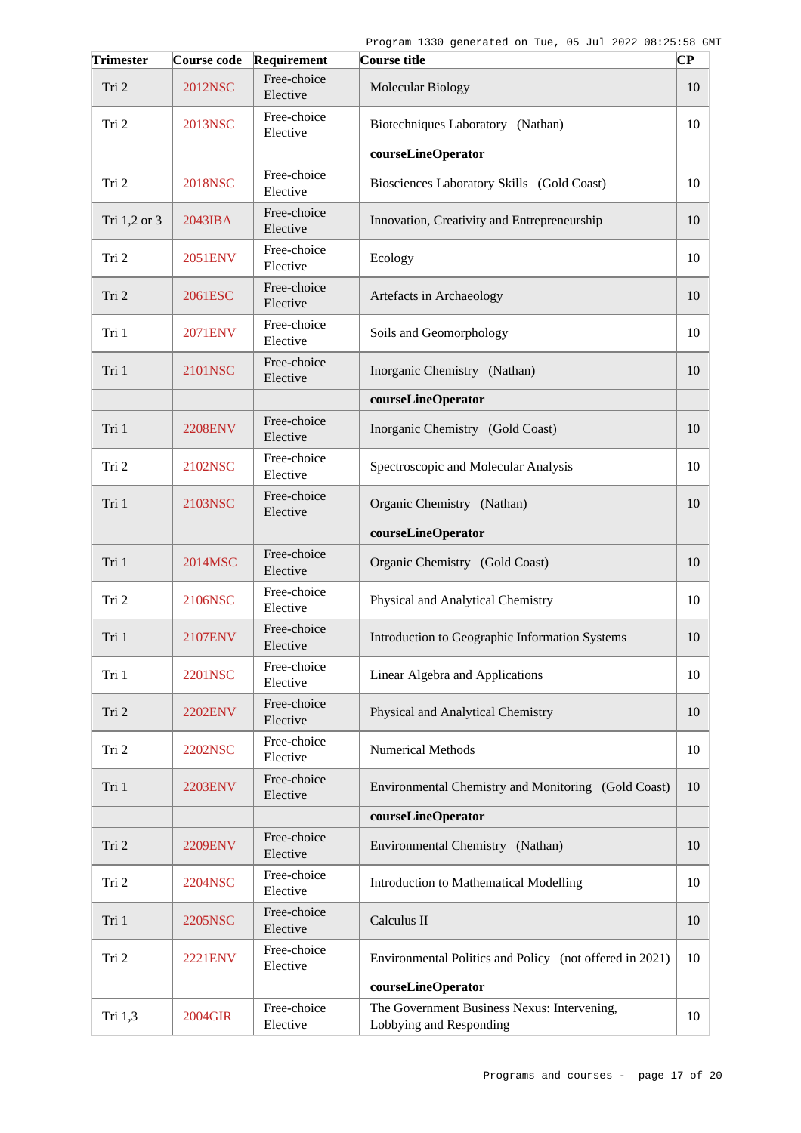| <b>Trimester</b> | Course code       | Requirement             | Course title                                                           | $ {\bf CP}$ |
|------------------|-------------------|-------------------------|------------------------------------------------------------------------|-------------|
| Tri 2            | 2012NSC           | Free-choice<br>Elective | <b>Molecular Biology</b>                                               | 10          |
| Tri 2            | 2013NSC           | Free-choice<br>Elective | Biotechniques Laboratory (Nathan)                                      | 10          |
|                  |                   |                         | courseLineOperator                                                     |             |
| Tri 2            | 2018NSC           | Free-choice<br>Elective | Biosciences Laboratory Skills (Gold Coast)                             | 10          |
| Tri 1,2 or 3     | $2043$ <b>IBA</b> | Free-choice<br>Elective | Innovation, Creativity and Entrepreneurship                            | 10          |
| Tri 2            | 2051ENV           | Free-choice<br>Elective | Ecology                                                                | 10          |
| Tri 2            | 2061ESC           | Free-choice<br>Elective | Artefacts in Archaeology                                               | 10          |
| Tri 1            | 2071ENV           | Free-choice<br>Elective | Soils and Geomorphology                                                | 10          |
| Tri 1            | 2101NSC           | Free-choice<br>Elective | Inorganic Chemistry (Nathan)                                           | 10          |
|                  |                   |                         | courseLineOperator                                                     |             |
| Tri 1            | <b>2208ENV</b>    | Free-choice<br>Elective | Inorganic Chemistry (Gold Coast)                                       | 10          |
| Tri 2            | 2102NSC           | Free-choice<br>Elective | Spectroscopic and Molecular Analysis                                   | 10          |
| Tri 1            | 2103NSC           | Free-choice<br>Elective | Organic Chemistry (Nathan)                                             | 10          |
|                  |                   |                         | courseLineOperator                                                     |             |
| Tri 1            | 2014MSC           | Free-choice<br>Elective | Organic Chemistry (Gold Coast)                                         | 10          |
| Tri 2            | 2106NSC           | Free-choice<br>Elective | Physical and Analytical Chemistry                                      | 10          |
| Tri 1            | <b>2107ENV</b>    | Free-choice<br>Elective | Introduction to Geographic Information Systems                         | 10          |
| Tri 1            | <b>2201NSC</b>    | Free-choice<br>Elective | Linear Algebra and Applications                                        | 10          |
| Tri 2            | <b>2202ENV</b>    | Free-choice<br>Elective | Physical and Analytical Chemistry                                      | 10          |
| Tri 2            | 2202NSC           | Free-choice<br>Elective | <b>Numerical Methods</b>                                               | 10          |
| Tri 1            | 2203ENV           | Free-choice<br>Elective | Environmental Chemistry and Monitoring (Gold Coast)                    | 10          |
|                  |                   |                         | courseLineOperator                                                     |             |
| Tri 2            | <b>2209ENV</b>    | Free-choice<br>Elective | Environmental Chemistry (Nathan)                                       | 10          |
| Tri 2            | 2204NSC           | Free-choice<br>Elective | Introduction to Mathematical Modelling                                 | 10          |
| Tri 1            | 2205NSC           | Free-choice<br>Elective | Calculus II                                                            | 10          |
| Tri 2            | 2221ENV           | Free-choice<br>Elective | Environmental Politics and Policy (not offered in 2021)                | 10          |
|                  |                   |                         | courseLineOperator                                                     |             |
| Tri 1,3          | 2004GIR           | Free-choice<br>Elective | The Government Business Nexus: Intervening,<br>Lobbying and Responding | 10          |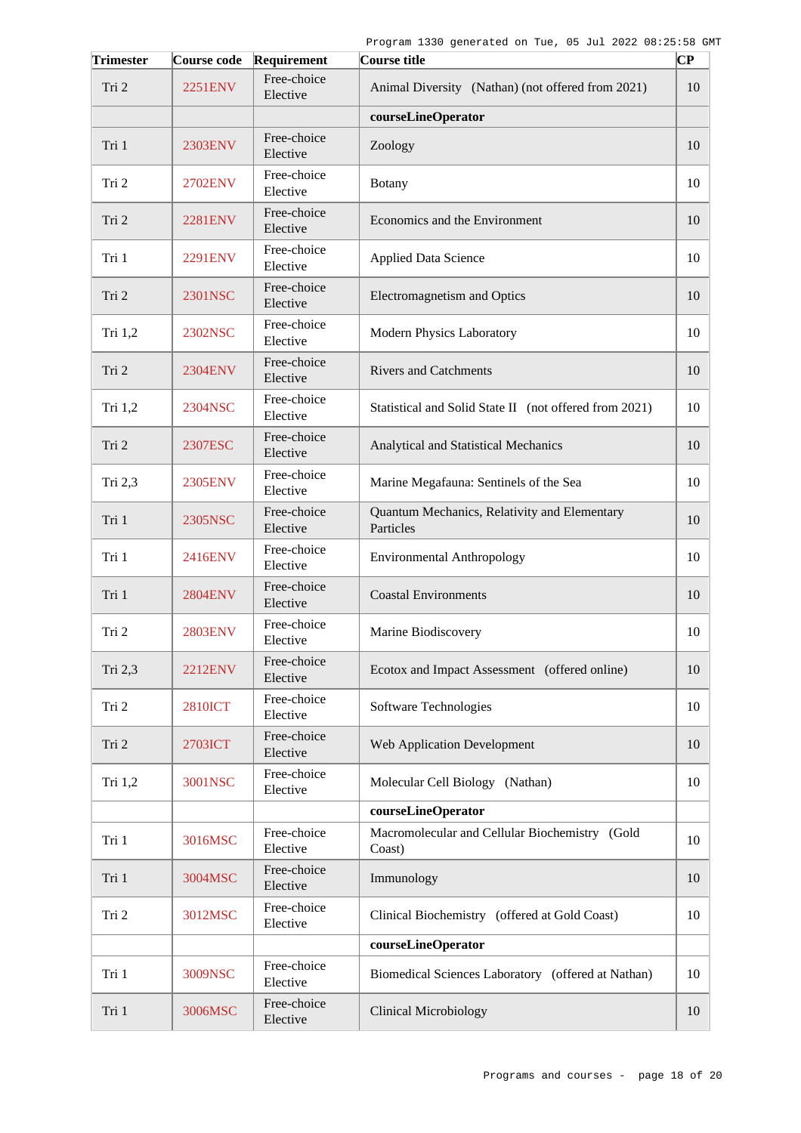| <b>Trimester</b> | Course code    | Requirement             | Course title                                              | $ {\bf CP}$ |
|------------------|----------------|-------------------------|-----------------------------------------------------------|-------------|
| Tri 2            | 2251ENV        | Free-choice<br>Elective | Animal Diversity (Nathan) (not offered from 2021)         | 10          |
|                  |                |                         | courseLineOperator                                        |             |
| Tri 1            | 2303ENV        | Free-choice<br>Elective | Zoology                                                   | 10          |
| Tri 2            | <b>2702ENV</b> | Free-choice<br>Elective | Botany                                                    | 10          |
| Tri 2            | 2281ENV        | Free-choice<br>Elective | Economics and the Environment                             | 10          |
| Tri 1            | <b>2291ENV</b> | Free-choice<br>Elective | <b>Applied Data Science</b>                               | 10          |
| Tri 2            | 2301NSC        | Free-choice<br>Elective | Electromagnetism and Optics                               | 10          |
| Tri 1,2          | 2302NSC        | Free-choice<br>Elective | <b>Modern Physics Laboratory</b>                          | 10          |
| Tri 2            | 2304ENV        | Free-choice<br>Elective | <b>Rivers and Catchments</b>                              | 10          |
| Tri 1,2          | 2304NSC        | Free-choice<br>Elective | Statistical and Solid State II (not offered from 2021)    | 10          |
| Tri 2            | 2307ESC        | Free-choice<br>Elective | Analytical and Statistical Mechanics                      | 10          |
| Tri 2,3          | 2305ENV        | Free-choice<br>Elective | Marine Megafauna: Sentinels of the Sea                    | 10          |
| Tri 1            | 2305NSC        | Free-choice<br>Elective | Quantum Mechanics, Relativity and Elementary<br>Particles | 10          |
| Tri 1            | 2416ENV        | Free-choice<br>Elective | <b>Environmental Anthropology</b>                         | 10          |
| Tri 1            | <b>2804ENV</b> | Free-choice<br>Elective | <b>Coastal Environments</b>                               | 10          |
| Tri 2            | <b>2803ENV</b> | Free-choice<br>Elective | Marine Biodiscovery                                       | 10          |
| Tri 2,3          | <b>2212ENV</b> | Free-choice<br>Elective | Ecotox and Impact Assessment (offered online)             | 10          |
| Tri 2            | <b>2810ICT</b> | Free-choice<br>Elective | Software Technologies                                     | 10          |
| Tri 2            | 2703ICT        | Free-choice<br>Elective | <b>Web Application Development</b>                        | 10          |
| Tri 1,2          | 3001NSC        | Free-choice<br>Elective | Molecular Cell Biology (Nathan)                           | 10          |
|                  |                |                         | courseLineOperator                                        |             |
| Tri 1            | 3016MSC        | Free-choice<br>Elective | Macromolecular and Cellular Biochemistry (Gold<br>Coast)  | 10          |
| Tri 1            | 3004MSC        | Free-choice<br>Elective | Immunology                                                | 10          |
| Tri 2            | 3012MSC        | Free-choice<br>Elective | Clinical Biochemistry (offered at Gold Coast)             | 10          |
|                  |                |                         | courseLineOperator                                        |             |
| Tri 1            | 3009NSC        | Free-choice<br>Elective | Biomedical Sciences Laboratory (offered at Nathan)        | 10          |
| Tri 1            | 3006MSC        | Free-choice<br>Elective | <b>Clinical Microbiology</b>                              | 10          |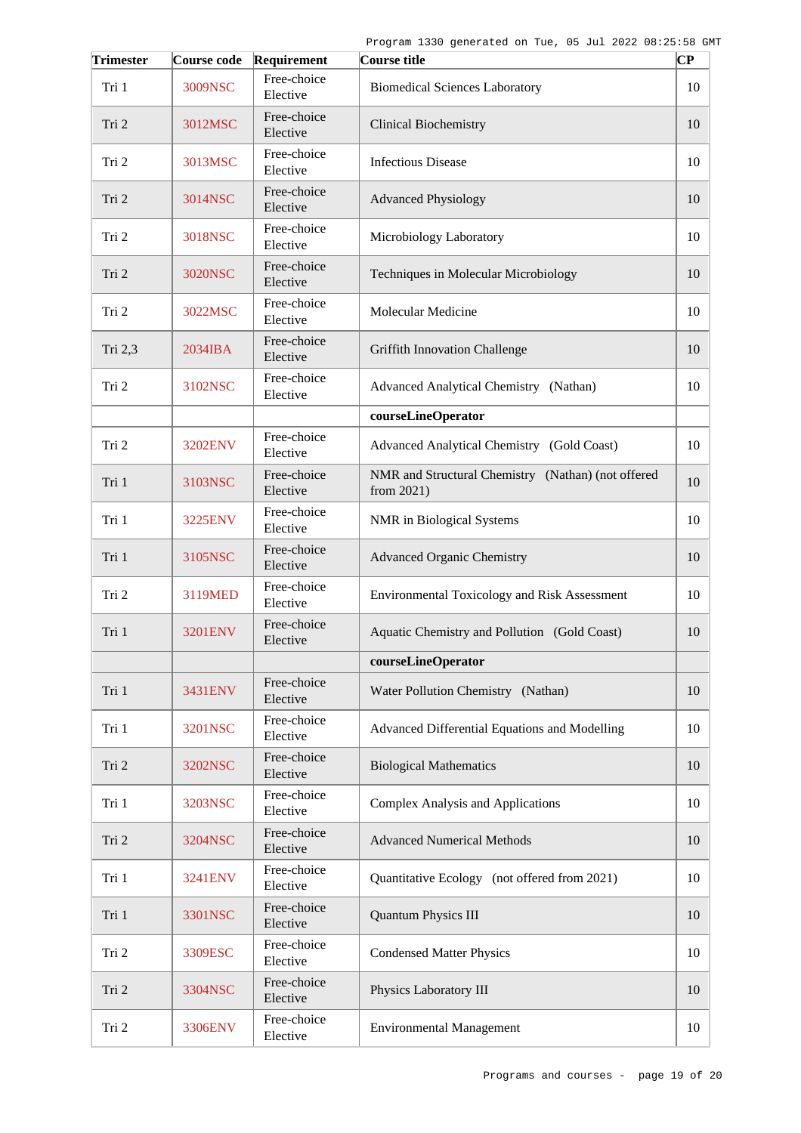| <b>Trimester</b> | Course code | Requirement             | Course title                                                        | $ {\bf CP}$ |
|------------------|-------------|-------------------------|---------------------------------------------------------------------|-------------|
| Tri 1            | 3009NSC     | Free-choice<br>Elective | <b>Biomedical Sciences Laboratory</b>                               | 10          |
| Tri 2            | 3012MSC     | Free-choice<br>Elective | <b>Clinical Biochemistry</b>                                        | 10          |
| Tri 2            | 3013MSC     | Free-choice<br>Elective | <b>Infectious Disease</b>                                           | 10          |
| Tri 2            | 3014NSC     | Free-choice<br>Elective | <b>Advanced Physiology</b>                                          | 10          |
| Tri 2            | 3018NSC     | Free-choice<br>Elective | Microbiology Laboratory                                             | 10          |
| Tri 2            | 3020NSC     | Free-choice<br>Elective | Techniques in Molecular Microbiology                                | 10          |
| Tri 2            | 3022MSC     | Free-choice<br>Elective | Molecular Medicine                                                  | 10          |
| Tri 2,3          | 2034IBA     | Free-choice<br>Elective | <b>Griffith Innovation Challenge</b>                                | 10          |
| Tri 2            | 3102NSC     | Free-choice<br>Elective | Advanced Analytical Chemistry (Nathan)                              | 10          |
|                  |             |                         | courseLineOperator                                                  |             |
| Tri 2            | 3202ENV     | Free-choice<br>Elective | Advanced Analytical Chemistry (Gold Coast)                          | 10          |
| Tri 1            | 3103NSC     | Free-choice<br>Elective | NMR and Structural Chemistry (Nathan) (not offered<br>from $2021$ ) | 10          |
| Tri 1            | 3225ENV     | Free-choice<br>Elective | NMR in Biological Systems                                           | 10          |
| Tri 1            | 3105NSC     | Free-choice<br>Elective | <b>Advanced Organic Chemistry</b>                                   | 10          |
| Tri 2            | 3119MED     | Free-choice<br>Elective | Environmental Toxicology and Risk Assessment                        | 10          |
| Tri 1            | 3201ENV     | Free-choice<br>Elective | Aquatic Chemistry and Pollution (Gold Coast)                        | 10          |
|                  |             |                         | courseLineOperator                                                  |             |
| Tri 1            | 3431ENV     | Free-choice<br>Elective | Water Pollution Chemistry (Nathan)                                  | 10          |
| Tri 1            | 3201NSC     | Free-choice<br>Elective | Advanced Differential Equations and Modelling                       | 10          |
| Tri 2            | 3202NSC     | Free-choice<br>Elective | <b>Biological Mathematics</b>                                       | 10          |
| Tri 1            | 3203NSC     | Free-choice<br>Elective | <b>Complex Analysis and Applications</b>                            | 10          |
| Tri 2            | 3204NSC     | Free-choice<br>Elective | <b>Advanced Numerical Methods</b>                                   | 10          |
| Tri 1            | 3241ENV     | Free-choice<br>Elective | Quantitative Ecology (not offered from 2021)                        | 10          |
| Tri 1            | 3301NSC     | Free-choice<br>Elective | <b>Quantum Physics III</b>                                          | 10          |
| Tri 2            | 3309ESC     | Free-choice<br>Elective | <b>Condensed Matter Physics</b>                                     | 10          |
| Tri 2            | 3304NSC     | Free-choice<br>Elective | Physics Laboratory III                                              | 10          |
| Tri 2            | 3306ENV     | Free-choice<br>Elective | <b>Environmental Management</b>                                     | 10          |